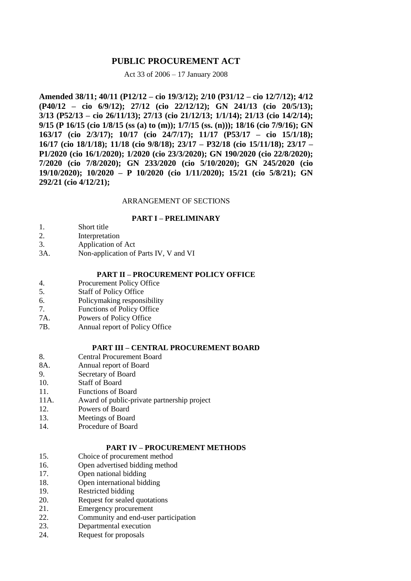# **PUBLIC PROCUREMENT ACT**

## Act 33 of 2006 – 17 January 2008

**Amended 38/11; 40/11 (P12/12 – cio 19/3/12); 2/10 (P31/12 – cio 12/7/12); 4/12 (P40/12 – cio 6/9/12); 27/12 (cio 22/12/12); GN 241/13 (cio 20/5/13); 3/13 (P52/13 – cio 26/11/13); 27/13 (cio 21/12/13; 1/1/14); 21/13 (cio 14/2/14); 9/15 (P 16/15 (cio 1/8/15 (ss (a) to (m)); 1/7/15 (ss. (n))); 18/16 (cio 7/9/16); GN 163/17 (cio 2/3/17); 10/17 (cio 24/7/17); 11/17 (P53/17 – cio 15/1/18); 16/17 (cio 18/1/18); 11/18 (cio 9/8/18); 23/17 – P32/18 (cio 15/11/18); 23/17 – P1/2020 (cio 16/1/2020); 1/2020 (cio 23/3/2020); GN 190/2020 (cio 22/8/2020); 7/2020 (cio 7/8/2020); GN 233/2020 (cio 5/10/2020); GN 245/2020 (cio 19/10/2020); 10/2020 – P 10/2020 (cio 1/11/2020); 15/21 (cio 5/8/21); GN 292/21 (cio 4/12/21);**

## ARRANGEMENT OF SECTIONS

## **PART I – PRELIMINARY**

- 1. Short title
- 2. Interpretation
- 3. Application of Act
- 3A. Non-application of Parts IV, V and VI

### **PART II – PROCUREMENT POLICY OFFICE**

- 4. Procurement Policy Office
- 5. Staff of Policy Office
- 6. Policymaking responsibility
- 7. Functions of Policy Office
- 7A. Powers of Policy Office
- 7B. Annual report of Policy Office

## **PART III – CENTRAL PROCUREMENT BOARD**

- 8. Central Procurement Board
- 8A. Annual report of Board
- 9. Secretary of Board
- 10. Staff of Board
- 11. Functions of Board
- 11A. Award of public-private partnership project
- 12. Powers of Board
- 13. Meetings of Board
- 14. Procedure of Board

### **PART IV – PROCUREMENT METHODS**

- 15. Choice of procurement method
- 16. Open advertised bidding method
- 17. Open national bidding
- 18. Open international bidding
- 19. Restricted bidding
- 20. Request for sealed quotations
- 21. Emergency procurement
- 22. Community and end-user participation
- 23. Departmental execution
- 24. Request for proposals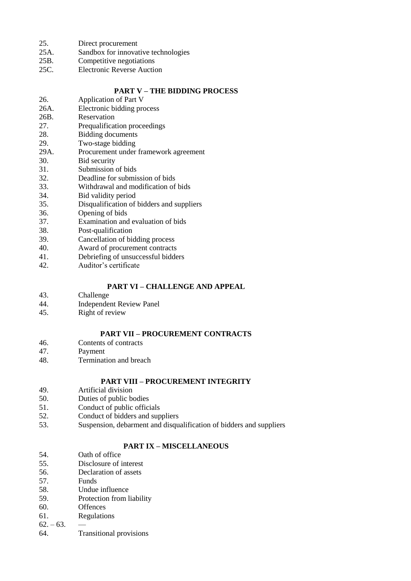- 25. Direct procurement
- 25A. Sandbox for innovative technologies
- 25B. Competitive negotiations
- 25C. Electronic Reverse Auction

## **PART V – THE BIDDING PROCESS**

- 26. Application of Part V 26A. Electronic bidding process<br>26B. Reservation Reservation 27. Prequalification proceedings 28. Bidding documents 29. Two-stage bidding 29A. Procurement under framework agreement 30. Bid security<br>31. Submission 31. Submission of bids<br>32. Deadline for submi Deadline for submission of bids 33. Withdrawal and modification of bids 34. Bid validity period 35. Disqualification of bidders and suppliers 36. Opening of bids 37. Examination and evaluation of bids 38. Post-qualification<br>39. Cancellation of bi-Cancellation of bidding process 40. Award of procurement contracts 41. Debriefing of unsuccessful bidders
- 42. Auditor's certificate

## **PART VI – CHALLENGE AND APPEAL**

- 43. Challenge
- 44. Independent Review Panel<br>45. Right of review
- Right of review

## **PART VII – PROCUREMENT CONTRACTS**

- 46. Contents of contracts
- 47. Payment
- 48. Termination and breach

# **PART VIII – PROCUREMENT INTEGRITY**

- 49. Artificial division
- 50. Duties of public bodies
- 51. Conduct of public officials
- 52. Conduct of bidders and suppliers
- 53. Suspension, debarment and disqualification of bidders and suppliers

## **PART IX – MISCELLANEOUS**

- 54. Oath of office
- 55. Disclosure of interest
- 56. Declaration of assets
- 57. Funds
- 58. Undue influence
- 59. Protection from liability
- 60. Offences
- 61. Regulations
- $62. 63.$
- 64. Transitional provisions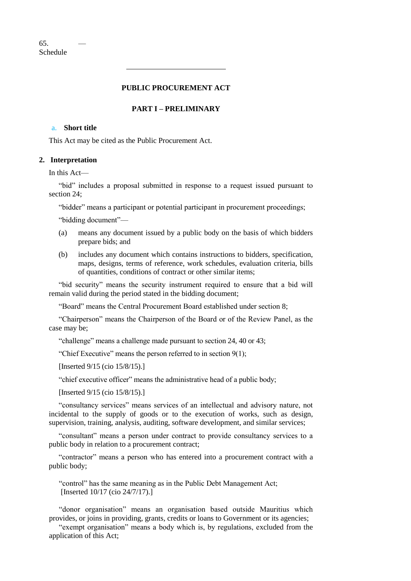## **PUBLIC PROCUREMENT ACT**

### **PART I – PRELIMINARY**

#### a. **Short title**

This Act may be cited as the Public Procurement Act.

## **2. Interpretation**

In this Act—

"bid" includes a proposal submitted in response to a request issued pursuant to section 24;

"bidder" means a participant or potential participant in procurement proceedings;

"bidding document"—

- (a) means any document issued by a public body on the basis of which bidders prepare bids; and
- (b) includes any document which contains instructions to bidders, specification, maps, designs, terms of reference, work schedules, evaluation criteria, bills of quantities, conditions of contract or other similar items;

"bid security" means the security instrument required to ensure that a bid will remain valid during the period stated in the bidding document;

"Board" means the Central Procurement Board established under section 8;

"Chairperson" means the Chairperson of the Board or of the Review Panel, as the case may be;

"challenge" means a challenge made pursuant to section 24, 40 or 43;

"Chief Executive" means the person referred to in section 9(1);

[Inserted 9/15 (cio 15/8/15).]

"chief executive officer" means the administrative head of a public body;

[Inserted 9/15 (cio 15/8/15).]

"consultancy services" means services of an intellectual and advisory nature, not incidental to the supply of goods or to the execution of works, such as design, supervision, training, analysis, auditing, software development, and similar services;

"consultant" means a person under contract to provide consultancy services to a public body in relation to a procurement contract;

"contractor" means a person who has entered into a procurement contract with a public body;

"control" has the same meaning as in the Public Debt Management Act; [Inserted 10/17 (cio 24/7/17).]

"donor organisation" means an organisation based outside Mauritius which provides, or joins in providing, grants, credits or loans to Government or its agencies;

"exempt organisation" means a body which is, by regulations, excluded from the application of this Act;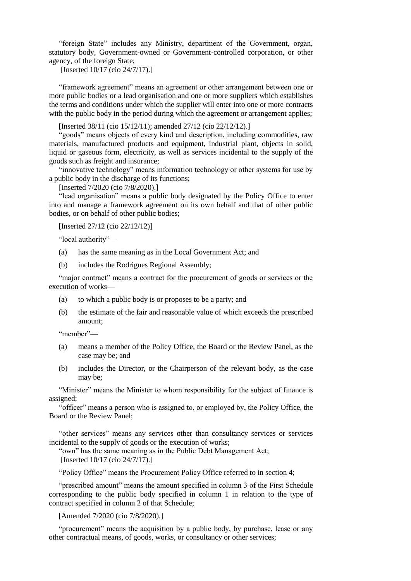"foreign State" includes any Ministry, department of the Government, organ, statutory body, Government-owned or Government-controlled corporation, or other agency, of the foreign State;

[Inserted 10/17 (cio 24/7/17).]

"framework agreement" means an agreement or other arrangement between one or more public bodies or a lead organisation and one or more suppliers which establishes the terms and conditions under which the supplier will enter into one or more contracts with the public body in the period during which the agreement or arrangement applies;

[Inserted 38/11 (cio 15/12/11); amended 27/12 (cio 22/12/12).]

"goods" means objects of every kind and description, including commodities, raw materials, manufactured products and equipment, industrial plant, objects in solid, liquid or gaseous form, electricity, as well as services incidental to the supply of the goods such as freight and insurance;

"innovative technology" means information technology or other systems for use by a public body in the discharge of its functions;

[Inserted 7/2020 (cio 7/8/2020).]

"lead organisation" means a public body designated by the Policy Office to enter into and manage a framework agreement on its own behalf and that of other public bodies, or on behalf of other public bodies;

[Inserted 27/12 (cio 22/12/12)]

"local authority"—

- (a) has the same meaning as in the Local Government Act; and
- (b) includes the Rodrigues Regional Assembly;

"major contract" means a contract for the procurement of goods or services or the execution of works—

- (a) to which a public body is or proposes to be a party; and
- (b) the estimate of the fair and reasonable value of which exceeds the prescribed amount;

"member"—

- (a) means a member of the Policy Office, the Board or the Review Panel, as the case may be; and
- (b) includes the Director, or the Chairperson of the relevant body, as the case may be;

"Minister" means the Minister to whom responsibility for the subject of finance is assigned;

"officer" means a person who is assigned to, or employed by, the Policy Office, the Board or the Review Panel;

"other services" means any services other than consultancy services or services incidental to the supply of goods or the execution of works;

"own" has the same meaning as in the Public Debt Management Act; [Inserted 10/17 (cio 24/7/17).]

"Policy Office" means the Procurement Policy Office referred to in section 4;

"prescribed amount" means the amount specified in column 3 of the First Schedule corresponding to the public body specified in column 1 in relation to the type of contract specified in column 2 of that Schedule;

[Amended 7/2020 (cio 7/8/2020).]

"procurement" means the acquisition by a public body, by purchase, lease or any other contractual means, of goods, works, or consultancy or other services;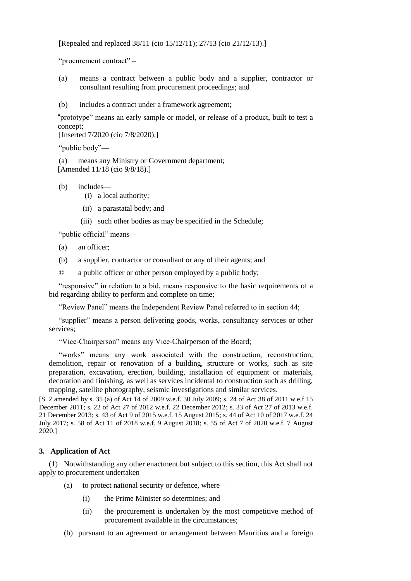[Repealed and replaced 38/11 (cio 15/12/11); 27/13 (cio 21/12/13).]

"procurement contract" –

- (a) means a contract between a public body and a supplier, contractor or consultant resulting from procurement proceedings; and
- (b) includes a contract under a framework agreement;

"prototype" means an early sample or model, or release of a product, built to test a concept;

[Inserted 7/2020 (cio 7/8/2020).]

"public body"—

(a) means any Ministry or Government department; [Amended 11/18 (cio 9/8/18).]

- (b) includes—
	- (i) a local authority;
	- (ii) a parastatal body; and
	- (iii) such other bodies as may be specified in the Schedule;

"public official" means—

- (a) an officer;
- (b) a supplier, contractor or consultant or any of their agents; and

© a public officer or other person employed by a public body;

"responsive" in relation to a bid, means responsive to the basic requirements of a bid regarding ability to perform and complete on time;

"Review Panel" means the Independent Review Panel referred to in section 44;

"supplier" means a person delivering goods, works, consultancy services or other services;

"Vice-Chairperson" means any Vice-Chairperson of the Board;

"works" means any work associated with the construction, reconstruction, demolition, repair or renovation of a building, structure or works, such as site preparation, excavation, erection, building, installation of equipment or materials, decoration and finishing, as well as services incidental to construction such as drilling, mapping, satellite photography, seismic investigations and similar services.

[S. 2 amended by s. 35 (a) of Act 14 of 2009 w.e.f. 30 July 2009; s. 24 of Act 38 of 2011 w.e.f 15 December 2011; s. 22 of Act 27 of 2012 w.e.f. 22 December 2012; s. 33 of Act 27 of 2013 w.e.f. 21 December 2013; s. 43 of Act 9 of 2015 w.e.f. 15 August 2015; s. 44 of Act 10 of 2017 w.e.f. 24 July 2017; s. 58 of Act 11 of 2018 w.e.f. 9 August 2018; s. 55 of Act 7 of 2020 w.e.f. 7 August 2020.]

### **3. Application of Act**

(1) Notwithstanding any other enactment but subject to this section, this Act shall not apply to procurement undertaken –

- (a) to protect national security or defence, where
	- (i) the Prime Minister so determines; and
	- (ii) the procurement is undertaken by the most competitive method of procurement available in the circumstances;
- (b) pursuant to an agreement or arrangement between Mauritius and a foreign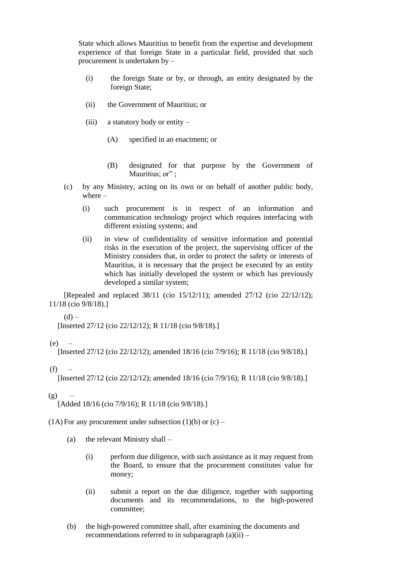State which allows Mauritius to benefit from the expertise and development experience of that foreign State in a particular field, provided that such procurement is undertaken by –

- (i) the foreign State or by, or through, an entity designated by the foreign State;
- (ii) the Government of Mauritius; or
- (iii) a statutory body or entity  $-$ 
	- (A) specified in an enactment; or
	- (B) designated for that purpose by the Government of Mauritius; or";
- (c) by any Ministry, acting on its own or on behalf of another public body, where –
	- (i) such procurement is in respect of an information and communication technology project which requires interfacing with different existing systems; and
	- (ii) in view of confidentiality of sensitive information and potential risks in the execution of the project, the supervising officer of the Ministry considers that, in order to protect the safety or interests of Mauritius, it is necessary that the project be executed by an entity which has initially developed the system or which has previously developed a similar system;

[Repealed and replaced 38/11 (cio 15/12/11); amended 27/12 (cio 22/12/12); 11/18 (cio 9/8/18).]

 $(h)$ 

[Inserted 27/12 (cio 22/12/12); R 11/18 (cio 9/8/18).]

 $(e)$  –

[Inserted 27/12 (cio 22/12/12); amended 18/16 (cio 7/9/16); R 11/18 (cio 9/8/18).]

 $(f)$ 

[Inserted 27/12 (cio 22/12/12); amended 18/16 (cio 7/9/16); R 11/18 (cio 9/8/18).]

 $(g)$ 

[Added 18/16 (cio 7/9/16); R 11/18 (cio 9/8/18).]

 $(1A)$  For any procurement under subsection  $(1)(b)$  or  $(c)$  –

- (a) the relevant Ministry shall
	- (i) perform due diligence, with such assistance as it may request from the Board, to ensure that the procurement constitutes value for money;
	- (ii) submit a report on the due diligence, together with supporting documents and its recommendations, to the high-powered committee;
- (b) the high-powered committee shall, after examining the documents and recommendations referred to in subparagraph  $(a)(ii)$  –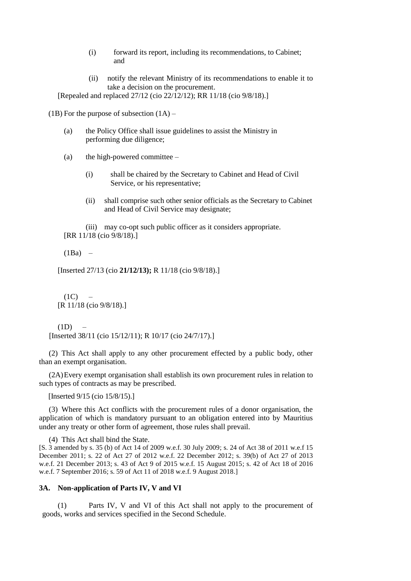- (i) forward its report, including its recommendations, to Cabinet; and
- (ii) notify the relevant Ministry of its recommendations to enable it to take a decision on the procurement.

[Repealed and replaced 27/12 (cio 22/12/12); RR 11/18 (cio 9/8/18).]

 $(1B)$  For the purpose of subsection  $(1A)$  –

- (a) the Policy Office shall issue guidelines to assist the Ministry in performing due diligence;
- (a) the high-powered committee  $-$ 
	- (i) shall be chaired by the Secretary to Cabinet and Head of Civil Service, or his representative;
	- (ii) shall comprise such other senior officials as the Secretary to Cabinet and Head of Civil Service may designate;

(iii) may co-opt such public officer as it considers appropriate. [RR 11/18 (cio 9/8/18).]

 $(1Ba)$  –

[Inserted 27/13 (cio **21/12/13);** R 11/18 (cio 9/8/18).]

 $(1C)$ [R 11/18 (cio 9/8/18).]

 $(1D)$ [Inserted 38/11 (cio 15/12/11); R 10/17 (cio 24/7/17).]

(2) This Act shall apply to any other procurement effected by a public body, other than an exempt organisation.

(2A)Every exempt organisation shall establish its own procurement rules in relation to such types of contracts as may be prescribed.

[Inserted 9/15 (cio 15/8/15).]

(3) Where this Act conflicts with the procurement rules of a donor organisation, the application of which is mandatory pursuant to an obligation entered into by Mauritius under any treaty or other form of agreement, those rules shall prevail.

(4) This Act shall bind the State.

[S. 3 amended by s. 35 (b) of Act 14 of 2009 w.e.f. 30 July 2009; s. 24 of Act 38 of 2011 w.e.f 15 December 2011; s. 22 of Act 27 of 2012 w.e.f. 22 December 2012; s. 39(b) of Act 27 of 2013 w.e.f. 21 December 2013; s. 43 of Act 9 of 2015 w.e.f. 15 August 2015; s. 42 of Act 18 of 2016 w.e.f. 7 September 2016; s. 59 of Act 11 of 2018 w.e.f. 9 August 2018.]

### **3A. Non-application of Parts IV, V and VI**

(1) Parts IV, V and VI of this Act shall not apply to the procurement of goods, works and services specified in the Second Schedule.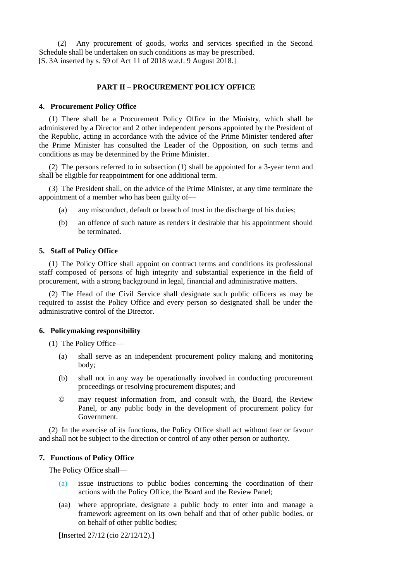(2) Any procurement of goods, works and services specified in the Second Schedule shall be undertaken on such conditions as may be prescribed. [S. 3A inserted by s. 59 of Act 11 of 2018 w.e.f. 9 August 2018.]

## **PART II – PROCUREMENT POLICY OFFICE**

#### **4. Procurement Policy Office**

(1) There shall be a Procurement Policy Office in the Ministry, which shall be administered by a Director and 2 other independent persons appointed by the President of the Republic, acting in accordance with the advice of the Prime Minister tendered after the Prime Minister has consulted the Leader of the Opposition, on such terms and conditions as may be determined by the Prime Minister.

(2) The persons referred to in subsection (1) shall be appointed for a 3-year term and shall be eligible for reappointment for one additional term.

(3) The President shall, on the advice of the Prime Minister, at any time terminate the appointment of a member who has been guilty of—

- (a) any misconduct, default or breach of trust in the discharge of his duties;
- (b) an offence of such nature as renders it desirable that his appointment should be terminated.

#### **5. Staff of Policy Office**

(1) The Policy Office shall appoint on contract terms and conditions its professional staff composed of persons of high integrity and substantial experience in the field of procurement, with a strong background in legal, financial and administrative matters.

(2) The Head of the Civil Service shall designate such public officers as may be required to assist the Policy Office and every person so designated shall be under the administrative control of the Director.

### **6. Policymaking responsibility**

(1) The Policy Office—

- (a) shall serve as an independent procurement policy making and monitoring body;
- (b) shall not in any way be operationally involved in conducting procurement proceedings or resolving procurement disputes; and
- © may request information from, and consult with, the Board, the Review Panel, or any public body in the development of procurement policy for Government.

(2) In the exercise of its functions, the Policy Office shall act without fear or favour and shall not be subject to the direction or control of any other person or authority.

### **7. Functions of Policy Office**

The Policy Office shall—

- (a) issue instructions to public bodies concerning the coordination of their actions with the Policy Office, the Board and the Review Panel;
- (aa) where appropriate, designate a public body to enter into and manage a framework agreement on its own behalf and that of other public bodies, or on behalf of other public bodies;

[Inserted 27/12 (cio 22/12/12).]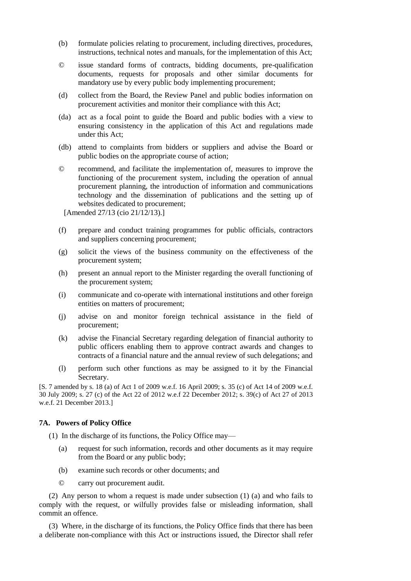- (b) formulate policies relating to procurement, including directives, procedures, instructions, technical notes and manuals, for the implementation of this Act;
- © issue standard forms of contracts, bidding documents, pre-qualification documents, requests for proposals and other similar documents for mandatory use by every public body implementing procurement;
- (d) collect from the Board, the Review Panel and public bodies information on procurement activities and monitor their compliance with this Act;
- (da) act as a focal point to guide the Board and public bodies with a view to ensuring consistency in the application of this Act and regulations made under this Act;
- (db) attend to complaints from bidders or suppliers and advise the Board or public bodies on the appropriate course of action;
- © recommend, and facilitate the implementation of, measures to improve the functioning of the procurement system, including the operation of annual procurement planning, the introduction of information and communications technology and the dissemination of publications and the setting up of websites dedicated to procurement;

[Amended 27/13 (cio 21/12/13).]

- (f) prepare and conduct training programmes for public officials, contractors and suppliers concerning procurement;
- (g) solicit the views of the business community on the effectiveness of the procurement system;
- (h) present an annual report to the Minister regarding the overall functioning of the procurement system;
- (i) communicate and co-operate with international institutions and other foreign entities on matters of procurement;
- (j) advise on and monitor foreign technical assistance in the field of procurement;
- (k) advise the Financial Secretary regarding delegation of financial authority to public officers enabling them to approve contract awards and changes to contracts of a financial nature and the annual review of such delegations; and
- (l) perform such other functions as may be assigned to it by the Financial Secretary.

[S. 7 amended by s. 18 (a) of Act 1 of 2009 w.e.f. 16 April 2009; s. 35 (c) of Act 14 of 2009 w.e.f. 30 July 2009; s. 27 (c) of the Act 22 of 2012 w.e.f 22 December 2012; s. 39(c) of Act 27 of 2013 w.e.f. 21 December 2013.]

### **7A. Powers of Policy Office**

(1) In the discharge of its functions, the Policy Office may—

- (a) request for such information, records and other documents as it may require from the Board or any public body;
- (b) examine such records or other documents; and
- © carry out procurement audit.

(2) Any person to whom a request is made under subsection (1) (a) and who fails to comply with the request, or wilfully provides false or misleading information, shall commit an offence.

(3) Where, in the discharge of its functions, the Policy Office finds that there has been a deliberate non-compliance with this Act or instructions issued, the Director shall refer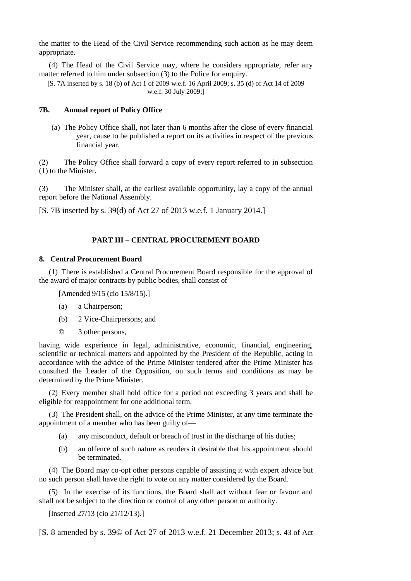the matter to the Head of the Civil Service recommending such action as he may deem appropriate.

(4) The Head of the Civil Service may, where he considers appropriate, refer any matter referred to him under subsection (3) to the Police for enquiry.

[S. 7A inserted by s. 18 (b) of Act 1 of 2009 w.e.f. 16 April 2009; s. 35 (d) of Act 14 of 2009 w.e.f. 30 July 2009;]

### **7B. Annual report of Policy Office**

(a) The Policy Office shall, not later than 6 months after the close of every financial year, cause to be published a report on its activities in respect of the previous financial year.

(2) The Policy Office shall forward a copy of every report referred to in subsection (1) to the Minister.

(3) The Minister shall, at the earliest available opportunity, lay a copy of the annual report before the National Assembly.

[S. 7B inserted by s. 39(d) of Act 27 of 2013 w.e.f. 1 January 2014.]

# **PART III – CENTRAL PROCUREMENT BOARD**

#### **8. Central Procurement Board**

(1) There is established a Central Procurement Board responsible for the approval of the award of major contracts by public bodies, shall consist of—

[Amended 9/15 (cio 15/8/15).]

- (a) a Chairperson;
- (b) 2 Vice-Chairpersons; and
- © 3 other persons,

having wide experience in legal, administrative, economic, financial, engineering, scientific or technical matters and appointed by the President of the Republic, acting in accordance with the advice of the Prime Minister tendered after the Prime Minister has consulted the Leader of the Opposition, on such terms and conditions as may be determined by the Prime Minister.

(2) Every member shall hold office for a period not exceeding 3 years and shall be eligible for reappointment for one additional term.

(3) The President shall, on the advice of the Prime Minister, at any time terminate the appointment of a member who has been guilty of—

- (a) any misconduct, default or breach of trust in the discharge of his duties;
- (b) an offence of such nature as renders it desirable that his appointment should be terminated.

(4) The Board may co-opt other persons capable of assisting it with expert advice but no such person shall have the right to vote on any matter considered by the Board.

(5) In the exercise of its functions, the Board shall act without fear or favour and shall not be subject to the direction or control of any other person or authority.

[Inserted 27/13 (cio 21/12/13).]

[S. 8 amended by s. 39© of Act 27 of 2013 w.e.f. 21 December 2013; s. 43 of Act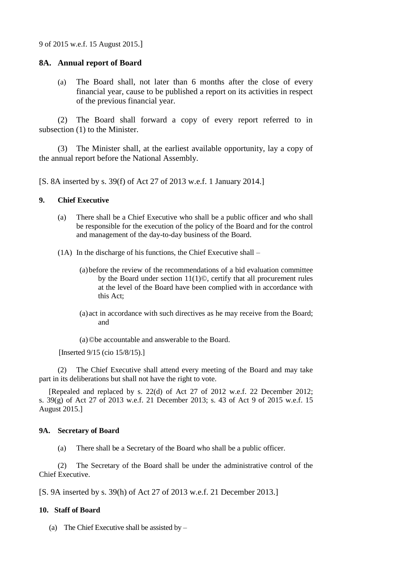9 of 2015 w.e.f. 15 August 2015.]

## **8A. Annual report of Board**

(a) The Board shall, not later than 6 months after the close of every financial year, cause to be published a report on its activities in respect of the previous financial year.

(2) The Board shall forward a copy of every report referred to in subsection (1) to the Minister.

(3) The Minister shall, at the earliest available opportunity, lay a copy of the annual report before the National Assembly.

[S. 8A inserted by s. 39(f) of Act 27 of 2013 w.e.f. 1 January 2014.]

## **9. Chief Executive**

- (a) There shall be a Chief Executive who shall be a public officer and who shall be responsible for the execution of the policy of the Board and for the control and management of the day-to-day business of the Board.
- (1A) In the discharge of his functions, the Chief Executive shall
	- (a)before the review of the recommendations of a bid evaluation committee by the Board under section 11(1)©, certify that all procurement rules at the level of the Board have been complied with in accordance with this Act;
	- (a)act in accordance with such directives as he may receive from the Board; and

(a)©be accountable and answerable to the Board.

[Inserted 9/15 (cio 15/8/15).]

(2) The Chief Executive shall attend every meeting of the Board and may take part in its deliberations but shall not have the right to vote.

[Repealed and replaced by s. 22(d) of Act 27 of 2012 w.e.f. 22 December 2012; s. 39(g) of Act 27 of 2013 w.e.f. 21 December 2013; s. 43 of Act 9 of 2015 w.e.f. 15 August 2015.]

## **9A. Secretary of Board**

(a) There shall be a Secretary of the Board who shall be a public officer.

(2) The Secretary of the Board shall be under the administrative control of the Chief Executive.

[S. 9A inserted by s. 39(h) of Act 27 of 2013 w.e.f. 21 December 2013.]

# **10. Staff of Board**

(a) The Chief Executive shall be assisted by  $-$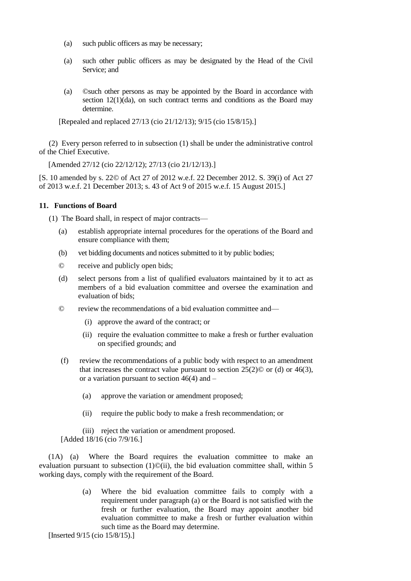- (a) such public officers as may be necessary;
- (a) such other public officers as may be designated by the Head of the Civil Service; and
- (a) ©such other persons as may be appointed by the Board in accordance with section 12(1)(da), on such contract terms and conditions as the Board may determine.

[Repealed and replaced 27/13 (cio 21/12/13); 9/15 (cio 15/8/15).]

(2) Every person referred to in subsection (1) shall be under the administrative control of the Chief Executive.

[Amended 27/12 (cio 22/12/12); 27/13 (cio 21/12/13).]

[S. 10 amended by s. 22© of Act 27 of 2012 w.e.f. 22 December 2012. S. 39(i) of Act 27 of 2013 w.e.f. 21 December 2013; s. 43 of Act 9 of 2015 w.e.f. 15 August 2015.]

## **11. Functions of Board**

(1) The Board shall, in respect of major contracts—

- (a) establish appropriate internal procedures for the operations of the Board and ensure compliance with them;
- (b) vet bidding documents and notices submitted to it by public bodies;
- © receive and publicly open bids;
- (d) select persons from a list of qualified evaluators maintained by it to act as members of a bid evaluation committee and oversee the examination and evaluation of bids;
- © review the recommendations of a bid evaluation committee and—
	- (i) approve the award of the contract; or
	- (ii) require the evaluation committee to make a fresh or further evaluation on specified grounds; and
- (f) review the recommendations of a public body with respect to an amendment that increases the contract value pursuant to section  $25(2)$ © or (d) or 46(3), or a variation pursuant to section  $46(4)$  and  $-$ 
	- (a) approve the variation or amendment proposed;
	- (ii) require the public body to make a fresh recommendation; or
	- (iii) reject the variation or amendment proposed.

[Added 18/16 (cio 7/9/16.]

(1A) (a) Where the Board requires the evaluation committee to make an evaluation pursuant to subsection  $(1)$ ©(ii), the bid evaluation committee shall, within 5 working days, comply with the requirement of the Board.

> (a) Where the bid evaluation committee fails to comply with a requirement under paragraph (a) or the Board is not satisfied with the fresh or further evaluation, the Board may appoint another bid evaluation committee to make a fresh or further evaluation within such time as the Board may determine.

[Inserted 9/15 (cio 15/8/15).]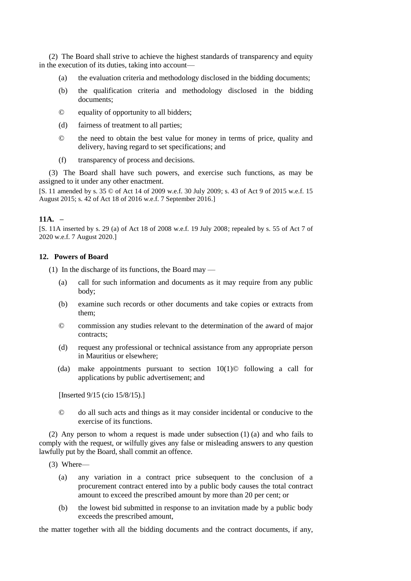(2) The Board shall strive to achieve the highest standards of transparency and equity in the execution of its duties, taking into account—

- (a) the evaluation criteria and methodology disclosed in the bidding documents;
- (b) the qualification criteria and methodology disclosed in the bidding documents;
- © equality of opportunity to all bidders;
- (d) fairness of treatment to all parties;
- © the need to obtain the best value for money in terms of price, quality and delivery, having regard to set specifications; and
- (f) transparency of process and decisions.

(3) The Board shall have such powers, and exercise such functions, as may be assigned to it under any other enactment.

[S. 11 amended by s. 35 © of Act 14 of 2009 w.e.f. 30 July 2009; s. 43 of Act 9 of 2015 w.e.f. 15 August 2015; s. 42 of Act 18 of 2016 w.e.f. 7 September 2016.]

## **11A. –**

[S. 11A inserted by s. 29 (a) of Act 18 of 2008 w.e.f. 19 July 2008; repealed by s. 55 of Act 7 of 2020 w.e.f. 7 August 2020.]

## **12. Powers of Board**

(1) In the discharge of its functions, the Board may —

- (a) call for such information and documents as it may require from any public body;
- (b) examine such records or other documents and take copies or extracts from them;
- © commission any studies relevant to the determination of the award of major contracts;
- (d) request any professional or technical assistance from any appropriate person in Mauritius or elsewhere;
- (da) make appointments pursuant to section 10(1)© following a call for applications by public advertisement; and

[Inserted 9/15 (cio 15/8/15).]

© do all such acts and things as it may consider incidental or conducive to the exercise of its functions.

(2) Any person to whom a request is made under subsection (1) (a) and who fails to comply with the request, or wilfully gives any false or misleading answers to any question lawfully put by the Board, shall commit an offence.

- (3) Where—
	- (a) any variation in a contract price subsequent to the conclusion of a procurement contract entered into by a public body causes the total contract amount to exceed the prescribed amount by more than 20 per cent; or
	- (b) the lowest bid submitted in response to an invitation made by a public body exceeds the prescribed amount,

the matter together with all the bidding documents and the contract documents, if any,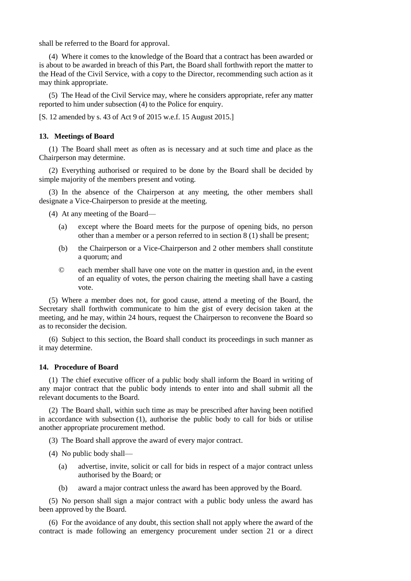shall be referred to the Board for approval.

(4) Where it comes to the knowledge of the Board that a contract has been awarded or is about to be awarded in breach of this Part, the Board shall forthwith report the matter to the Head of the Civil Service, with a copy to the Director, recommending such action as it may think appropriate.

(5) The Head of the Civil Service may, where he considers appropriate, refer any matter reported to him under subsection (4) to the Police for enquiry.

[S. 12 amended by s. 43 of Act 9 of 2015 w.e.f. 15 August 2015.]

#### **13. Meetings of Board**

(1) The Board shall meet as often as is necessary and at such time and place as the Chairperson may determine.

(2) Everything authorised or required to be done by the Board shall be decided by simple majority of the members present and voting.

(3) In the absence of the Chairperson at any meeting, the other members shall designate a Vice-Chairperson to preside at the meeting.

(4) At any meeting of the Board—

- (a) except where the Board meets for the purpose of opening bids, no person other than a member or a person referred to in section 8 (1) shall be present;
- (b) the Chairperson or a Vice-Chairperson and 2 other members shall constitute a quorum; and
- © each member shall have one vote on the matter in question and, in the event of an equality of votes, the person chairing the meeting shall have a casting vote.

(5) Where a member does not, for good cause, attend a meeting of the Board, the Secretary shall forthwith communicate to him the gist of every decision taken at the meeting, and he may, within 24 hours, request the Chairperson to reconvene the Board so as to reconsider the decision.

(6) Subject to this section, the Board shall conduct its proceedings in such manner as it may determine.

#### **14. Procedure of Board**

(1) The chief executive officer of a public body shall inform the Board in writing of any major contract that the public body intends to enter into and shall submit all the relevant documents to the Board.

(2) The Board shall, within such time as may be prescribed after having been notified in accordance with subsection (1), authorise the public body to call for bids or utilise another appropriate procurement method.

(3) The Board shall approve the award of every major contract.

- (4) No public body shall—
	- (a) advertise, invite, solicit or call for bids in respect of a major contract unless authorised by the Board; or
	- (b) award a major contract unless the award has been approved by the Board.

(5) No person shall sign a major contract with a public body unless the award has been approved by the Board.

(6) For the avoidance of any doubt, this section shall not apply where the award of the contract is made following an emergency procurement under section 21 or a direct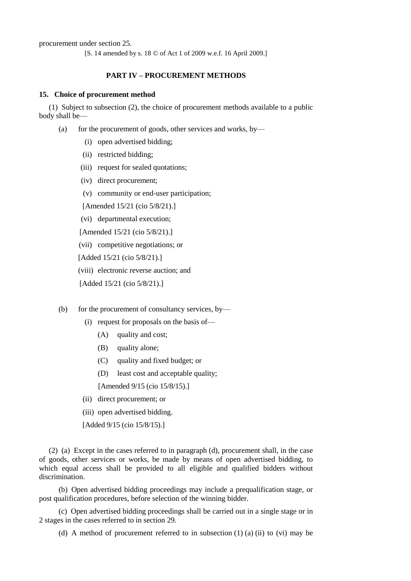procurement under section 25.

[S. 14 amended by s. 18 © of Act 1 of 2009 w.e.f. 16 April 2009.]

### **PART IV – PROCUREMENT METHODS**

#### **15. Choice of procurement method**

(1) Subject to subsection (2), the choice of procurement methods available to a public body shall be—

- (a) for the procurement of goods, other services and works, by-
	- (i) open advertised bidding;
	- (ii) restricted bidding;
	- (iii) request for sealed quotations;
	- (iv) direct procurement;
	- (v) community or end-user participation;

[Amended 15/21 (cio 5/8/21).]

(vi) departmental execution;

[Amended 15/21 (cio 5/8/21).]

(vii) competitive negotiations; or

[Added 15/21 (cio 5/8/21).]

(viii) electronic reverse auction; and

[Added 15/21 (cio 5/8/21).]

- (b) for the procurement of consultancy services, by—
	- (i) request for proposals on the basis of—
		- (A) quality and cost;
		- (B) quality alone;
		- (C) quality and fixed budget; or
		- (D) least cost and acceptable quality;

[Amended 9/15 (cio 15/8/15).]

- (ii) direct procurement; or
- (iii) open advertised bidding.

[Added 9/15 (cio 15/8/15).]

(2) (a) Except in the cases referred to in paragraph (d), procurement shall, in the case of goods, other services or works, be made by means of open advertised bidding, to which equal access shall be provided to all eligible and qualified bidders without discrimination.

(b) Open advertised bidding proceedings may include a prequalification stage, or post qualification procedures, before selection of the winning bidder.

(c) Open advertised bidding proceedings shall be carried out in a single stage or in 2 stages in the cases referred to in section 29.

(d) A method of procurement referred to in subsection  $(1)$   $(a)$   $(ii)$  to  $(vi)$  may be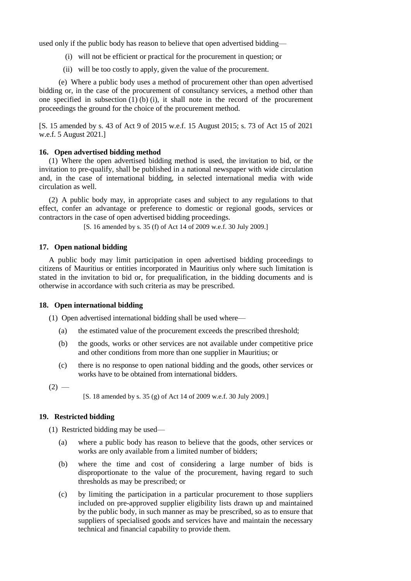used only if the public body has reason to believe that open advertised bidding—

- (i) will not be efficient or practical for the procurement in question; or
- (ii) will be too costly to apply, given the value of the procurement.

(e) Where a public body uses a method of procurement other than open advertised bidding or, in the case of the procurement of consultancy services, a method other than one specified in subsection  $(1)$   $(b)$   $(i)$ , it shall note in the record of the procurement proceedings the ground for the choice of the procurement method.

[S. 15 amended by s. 43 of Act 9 of 2015 w.e.f. 15 August 2015; s. 73 of Act 15 of 2021 w.e.f. 5 August 2021.]

## **16. Open advertised bidding method**

(1) Where the open advertised bidding method is used, the invitation to bid, or the invitation to pre-qualify, shall be published in a national newspaper with wide circulation and, in the case of international bidding, in selected international media with wide circulation as well.

(2) A public body may, in appropriate cases and subject to any regulations to that effect, confer an advantage or preference to domestic or regional goods, services or contractors in the case of open advertised bidding proceedings.

[S. 16 amended by s. 35 (f) of Act 14 of 2009 w.e.f. 30 July 2009.]

## **17. Open national bidding**

A public body may limit participation in open advertised bidding proceedings to citizens of Mauritius or entities incorporated in Mauritius only where such limitation is stated in the invitation to bid or, for prequalification, in the bidding documents and is otherwise in accordance with such criteria as may be prescribed.

### **18. Open international bidding**

(1) Open advertised international bidding shall be used where—

- (a) the estimated value of the procurement exceeds the prescribed threshold;
- (b) the goods, works or other services are not available under competitive price and other conditions from more than one supplier in Mauritius; or
- (c) there is no response to open national bidding and the goods, other services or works have to be obtained from international bidders.

 $(2)$  —

[S. 18 amended by s. 35 (g) of Act 14 of 2009 w.e.f. 30 July 2009.]

## **19. Restricted bidding**

(1) Restricted bidding may be used—

- (a) where a public body has reason to believe that the goods, other services or works are only available from a limited number of bidders;
- (b) where the time and cost of considering a large number of bids is disproportionate to the value of the procurement, having regard to such thresholds as may be prescribed; or
- (c) by limiting the participation in a particular procurement to those suppliers included on pre-approved supplier eligibility lists drawn up and maintained by the public body, in such manner as may be prescribed, so as to ensure that suppliers of specialised goods and services have and maintain the necessary technical and financial capability to provide them.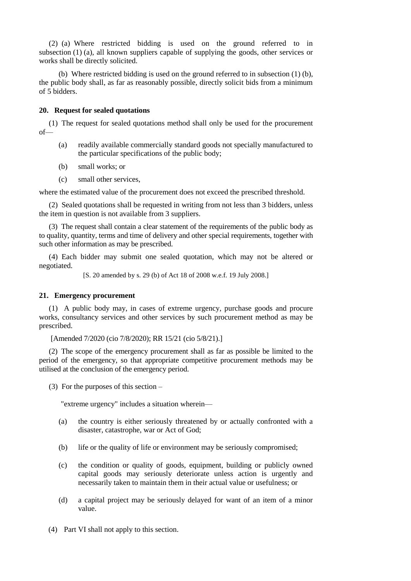(2) (a) Where restricted bidding is used on the ground referred to in subsection (1) (a), all known suppliers capable of supplying the goods, other services or works shall be directly solicited.

(b) Where restricted bidding is used on the ground referred to in subsection (1) (b), the public body shall, as far as reasonably possible, directly solicit bids from a minimum of 5 bidders.

### **20. Request for sealed quotations**

(1) The request for sealed quotations method shall only be used for the procurement of—

- (a) readily available commercially standard goods not specially manufactured to the particular specifications of the public body;
- (b) small works; or
- (c) small other services,

where the estimated value of the procurement does not exceed the prescribed threshold.

(2) Sealed quotations shall be requested in writing from not less than 3 bidders, unless the item in question is not available from 3 suppliers.

(3) The request shall contain a clear statement of the requirements of the public body as to quality, quantity, terms and time of delivery and other special requirements, together with such other information as may be prescribed.

(4) Each bidder may submit one sealed quotation, which may not be altered or negotiated.

[S. 20 amended by s. 29 (b) of Act 18 of 2008 w.e.f. 19 July 2008.]

## **21. Emergency procurement**

(1) A public body may, in cases of extreme urgency, purchase goods and procure works, consultancy services and other services by such procurement method as may be prescribed.

[Amended 7/2020 (cio 7/8/2020); RR 15/21 (cio 5/8/21).]

(2) The scope of the emergency procurement shall as far as possible be limited to the period of the emergency, so that appropriate competitive procurement methods may be utilised at the conclusion of the emergency period.

(3) For the purposes of this section –

"extreme urgency" includes a situation wherein—

- (a) the country is either seriously threatened by or actually confronted with a disaster, catastrophe, war or Act of God;
- (b) life or the quality of life or environment may be seriously compromised;
- (c) the condition or quality of goods, equipment, building or publicly owned capital goods may seriously deteriorate unless action is urgently and necessarily taken to maintain them in their actual value or usefulness; or
- (d) a capital project may be seriously delayed for want of an item of a minor value.
- (4) Part VI shall not apply to this section.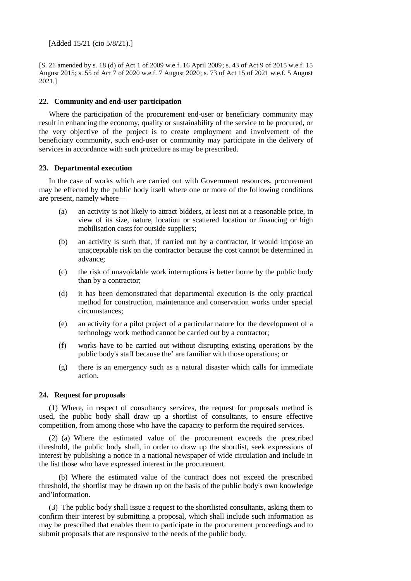[Added 15/21 (cio 5/8/21).]

[S. 21 amended by s. 18 (d) of Act 1 of 2009 w.e.f. 16 April 2009; s. 43 of Act 9 of 2015 w.e.f. 15 August 2015; s. 55 of Act 7 of 2020 w.e.f. 7 August 2020; s. 73 of Act 15 of 2021 w.e.f. 5 August 2021.]

## **22. Community and end-user participation**

Where the participation of the procurement end-user or beneficiary community may result in enhancing the economy, quality or sustainability of the service to be procured, or the very objective of the project is to create employment and involvement of the beneficiary community, such end-user or community may participate in the delivery of services in accordance with such procedure as may be prescribed.

### **23. Departmental execution**

In the case of works which are carried out with Government resources, procurement may be effected by the public body itself where one or more of the following conditions are present, namely where—

- (a) an activity is not likely to attract bidders, at least not at a reasonable price, in view of its size, nature, location or scattered location or financing or high mobilisation costs for outside suppliers;
- (b) an activity is such that, if carried out by a contractor, it would impose an unacceptable risk on the contractor because the cost cannot be determined in advance;
- (c) the risk of unavoidable work interruptions is better borne by the public body than by a contractor;
- (d) it has been demonstrated that departmental execution is the only practical method for construction, maintenance and conservation works under special circumstances;
- (e) an activity for a pilot project of a particular nature for the development of a technology work method cannot be carried out by a contractor;
- (f) works have to be carried out without disrupting existing operations by the public body's staff because the' are familiar with those operations; or
- (g) there is an emergency such as a natural disaster which calls for immediate action.

## **24. Request for proposals**

(1) Where, in respect of consultancy services, the request for proposals method is used, the public body shall draw up a shortlist of consultants, to ensure effective competition, from among those who have the capacity to perform the required services.

(2) (a) Where the estimated value of the procurement exceeds the prescribed threshold, the public body shall, in order to draw up the shortlist, seek expressions of interest by publishing a notice in a national newspaper of wide circulation and include in the list those who have expressed interest in the procurement.

(b) Where the estimated value of the contract does not exceed the prescribed threshold, the shortlist may be drawn up on the basis of the public body's own knowledge and'information.

(3) The public body shall issue a request to the shortlisted consultants, asking them to confirm their interest by submitting a proposal, which shall include such information as may be prescribed that enables them to participate in the procurement proceedings and to submit proposals that are responsive to the needs of the public body.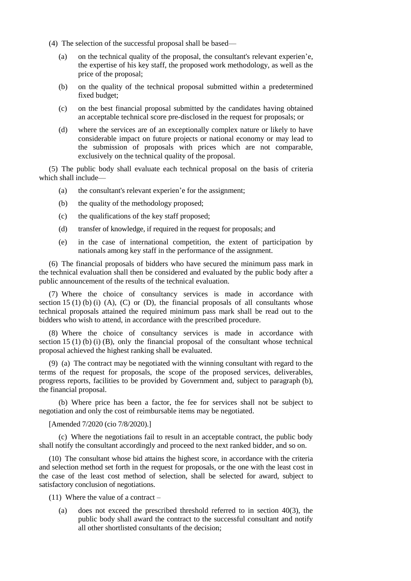- (4) The selection of the successful proposal shall be based—
	- (a) on the technical quality of the proposal, the consultant's relevant experien'e, the expertise of his key staff, the proposed work methodology, as well as the price of the proposal;
	- (b) on the quality of the technical proposal submitted within a predetermined fixed budget;
	- (c) on the best financial proposal submitted by the candidates having obtained an acceptable technical score pre-disclosed in the request for proposals; or
	- (d) where the services are of an exceptionally complex nature or likely to have considerable impact on future projects or national economy or may lead to the submission of proposals with prices which are not comparable, exclusively on the technical quality of the proposal.

(5) The public body shall evaluate each technical proposal on the basis of criteria which shall include—

- (a) the consultant's relevant experien'e for the assignment;
- (b) the quality of the methodology proposed;
- (c) the qualifications of the key staff proposed;
- (d) transfer of knowledge, if required in the request for proposals; and
- (e) in the case of international competition, the extent of participation by nationals among key staff in the performance of the assignment.

(6) The financial proposals of bidders who have secured the minimum pass mark in the technical evaluation shall then be considered and evaluated by the public body after a public announcement of the results of the technical evaluation.

(7) Where the choice of consultancy services is made in accordance with section 15 (1) (b) (i) (A), (C) or (D), the financial proposals of all consultants whose technical proposals attained the required minimum pass mark shall be read out to the bidders who wish to attend, in accordance with the prescribed procedure.

(8) Where the choice of consultancy services is made in accordance with section 15 (1) (b) (i) (B), only the financial proposal of the consultant whose technical proposal achieved the highest ranking shall be evaluated.

(9) (a) The contract may be negotiated with the winning consultant with regard to the terms of the request for proposals, the scope of the proposed services, deliverables, progress reports, facilities to be provided by Government and, subject to paragraph (b), the financial proposal.

(b) Where price has been a factor, the fee for services shall not be subject to negotiation and only the cost of reimbursable items may be negotiated.

[Amended 7/2020 (cio 7/8/2020).]

(c) Where the negotiations fail to result in an acceptable contract, the public body shall notify the consultant accordingly and proceed to the next ranked bidder, and so on.

(10) The consultant whose bid attains the highest score, in accordance with the criteria and selection method set forth in the request for proposals, or the one with the least cost in the case of the least cost method of selection, shall be selected for award, subject to satisfactory conclusion of negotiations.

(11) Where the value of a contract –

(a) does not exceed the prescribed threshold referred to in section 40(3), the public body shall award the contract to the successful consultant and notify all other shortlisted consultants of the decision;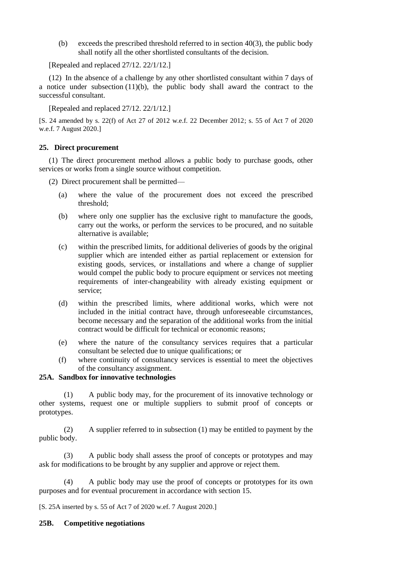(b) exceeds the prescribed threshold referred to in section  $40(3)$ , the public body shall notify all the other shortlisted consultants of the decision.

[Repealed and replaced 27/12. 22/1/12.]

(12) In the absence of a challenge by any other shortlisted consultant within 7 days of a notice under subsection (11)(b), the public body shall award the contract to the successful consultant.

[Repealed and replaced 27/12. 22/1/12.]

[S. 24 amended by s. 22(f) of Act 27 of 2012 w.e.f. 22 December 2012; s. 55 of Act 7 of 2020 w.e.f. 7 August 2020.]

## **25. Direct procurement**

(1) The direct procurement method allows a public body to purchase goods, other services or works from a single source without competition.

(2) Direct procurement shall be permitted—

- (a) where the value of the procurement does not exceed the prescribed threshold;
- (b) where only one supplier has the exclusive right to manufacture the goods, carry out the works, or perform the services to be procured, and no suitable alternative is available;
- (c) within the prescribed limits, for additional deliveries of goods by the original supplier which are intended either as partial replacement or extension for existing goods, services, or installations and where a change of supplier would compel the public body to procure equipment or services not meeting requirements of inter-changeability with already existing equipment or service;
- (d) within the prescribed limits, where additional works, which were not included in the initial contract have, through unforeseeable circumstances, become necessary and the separation of the additional works from the initial contract would be difficult for technical or economic reasons;
- (e) where the nature of the consultancy services requires that a particular consultant be selected due to unique qualifications; or
- (f) where continuity of consultancy services is essential to meet the objectives of the consultancy assignment.

# **25A. Sandbox for innovative technologies**

(1) A public body may, for the procurement of its innovative technology or other systems, request one or multiple suppliers to submit proof of concepts or prototypes.

(2) A supplier referred to in subsection (1) may be entitled to payment by the public body.

(3) A public body shall assess the proof of concepts or prototypes and may ask for modifications to be brought by any supplier and approve or reject them.

(4) A public body may use the proof of concepts or prototypes for its own purposes and for eventual procurement in accordance with section 15.

[S. 25A inserted by s. 55 of Act 7 of 2020 w.ef. 7 August 2020.]

## **25B. Competitive negotiations**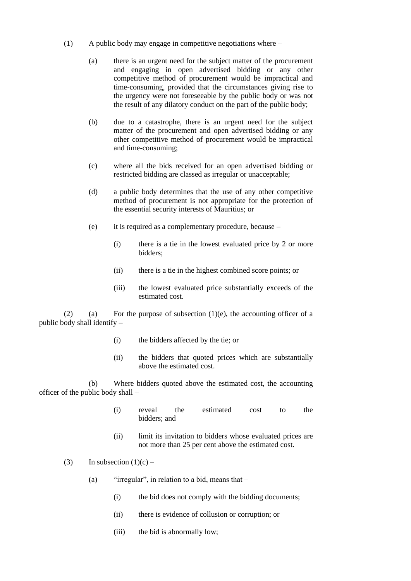- (1) A public body may engage in competitive negotiations where
	- (a) there is an urgent need for the subject matter of the procurement and engaging in open advertised bidding or any other competitive method of procurement would be impractical and time-consuming, provided that the circumstances giving rise to the urgency were not foreseeable by the public body or was not the result of any dilatory conduct on the part of the public body;
	- (b) due to a catastrophe, there is an urgent need for the subject matter of the procurement and open advertised bidding or any other competitive method of procurement would be impractical and time-consuming;
	- (c) where all the bids received for an open advertised bidding or restricted bidding are classed as irregular or unacceptable;
	- (d) a public body determines that the use of any other competitive method of procurement is not appropriate for the protection of the essential security interests of Mauritius; or
	- (e) it is required as a complementary procedure, because
		- (i) there is a tie in the lowest evaluated price by 2 or more bidders;
		- (ii) there is a tie in the highest combined score points; or
		- (iii) the lowest evaluated price substantially exceeds of the estimated cost.

(2) (a) For the purpose of subsection  $(1)(e)$ , the accounting officer of a public body shall identify –

- (i) the bidders affected by the tie; or
- (ii) the bidders that quoted prices which are substantially above the estimated cost.

(b) Where bidders quoted above the estimated cost, the accounting officer of the public body shall –

- (i) reveal the estimated cost to the bidders; and
- (ii) limit its invitation to bidders whose evaluated prices are not more than 25 per cent above the estimated cost.
- (3) In subsection  $(1)(c)$ 
	- (a) "irregular", in relation to a bid, means that  $-$ 
		- (i) the bid does not comply with the bidding documents;
		- (ii) there is evidence of collusion or corruption; or
		- (iii) the bid is abnormally low;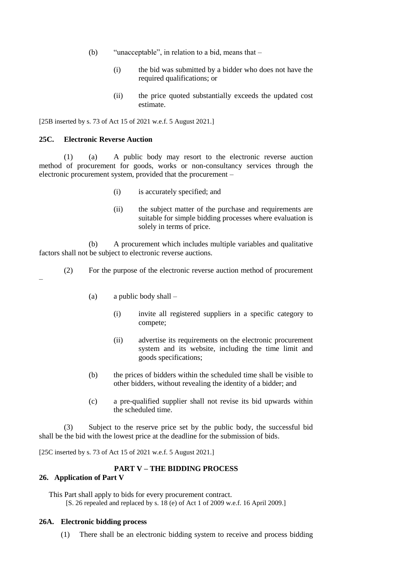- (b) "unacceptable", in relation to a bid, means that
	- (i) the bid was submitted by a bidder who does not have the required qualifications; or
	- (ii) the price quoted substantially exceeds the updated cost estimate.

[25B inserted by s. 73 of Act 15 of 2021 w.e.f. 5 August 2021.]

### **25C. Electronic Reverse Auction**

(1) (a) A public body may resort to the electronic reverse auction method of procurement for goods, works or non-consultancy services through the electronic procurement system, provided that the procurement –

- (i) is accurately specified; and
- (ii) the subject matter of the purchase and requirements are suitable for simple bidding processes where evaluation is solely in terms of price.

(b) A procurement which includes multiple variables and qualitative factors shall not be subject to electronic reverse auctions.

- (2) For the purpose of the electronic reverse auction method of procurement
	- (a) a public body shall
		- (i) invite all registered suppliers in a specific category to compete;
		- (ii) advertise its requirements on the electronic procurement system and its website, including the time limit and goods specifications;
	- (b) the prices of bidders within the scheduled time shall be visible to other bidders, without revealing the identity of a bidder; and
	- (c) a pre-qualified supplier shall not revise its bid upwards within the scheduled time.

(3) Subject to the reserve price set by the public body, the successful bid shall be the bid with the lowest price at the deadline for the submission of bids.

[25C inserted by s. 73 of Act 15 of 2021 w.e.f. 5 August 2021.]

### **PART V – THE BIDDING PROCESS**

## **26. Application of Part V**

–

This Part shall apply to bids for every procurement contract. [S. 26 repealed and replaced by s. 18 (e) of Act 1 of 2009 w.e.f. 16 April 2009.]

#### **26A. Electronic bidding process**

(1) There shall be an electronic bidding system to receive and process bidding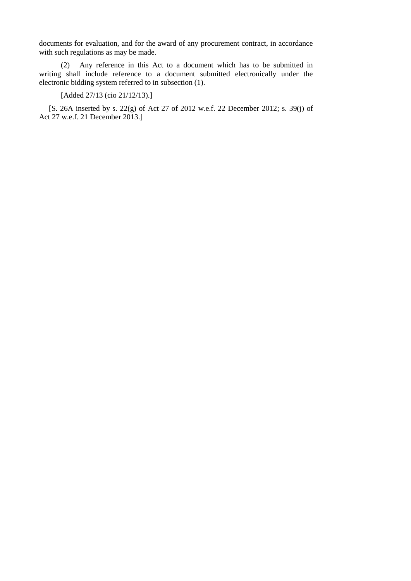documents for evaluation, and for the award of any procurement contract, in accordance with such regulations as may be made.

(2) Any reference in this Act to a document which has to be submitted in writing shall include reference to a document submitted electronically under the electronic bidding system referred to in subsection (1).

[Added 27/13 (cio 21/12/13).]

[S. 26A inserted by s. 22(g) of Act 27 of 2012 w.e.f. 22 December 2012; s. 39(j) of Act 27 w.e.f. 21 December 2013.]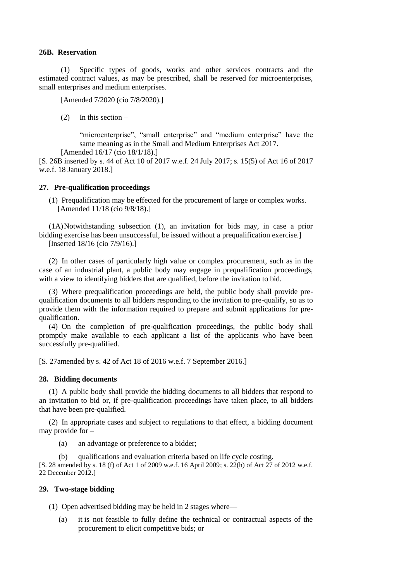### **26B. Reservation**

(1) Specific types of goods, works and other services contracts and the estimated contract values, as may be prescribed, shall be reserved for microenterprises, small enterprises and medium enterprises.

[Amended 7/2020 (cio 7/8/2020).]

(2) In this section  $-$ 

"microenterprise", "small enterprise" and "medium enterprise" have the same meaning as in the Small and Medium Enterprises Act 2017. [Amended 16/17 (cio 18/1/18).]

[S. 26B inserted by s. 44 of Act 10 of 2017 w.e.f. 24 July 2017; s. 15(5) of Act 16 of 2017 w.e.f. 18 January 2018.]

#### **27. Pre-qualification proceedings**

(1) Prequalification may be effected for the procurement of large or complex works. [Amended 11/18 (cio 9/8/18).]

(1A)Notwithstanding subsection (1), an invitation for bids may, in case a prior bidding exercise has been unsuccessful, be issued without a prequalification exercise.] [Inserted 18/16 (cio 7/9/16).]

(2) In other cases of particularly high value or complex procurement, such as in the case of an industrial plant, a public body may engage in prequalification proceedings, with a view to identifying bidders that are qualified, before the invitation to bid.

(3) Where prequalification proceedings are held, the public body shall provide prequalification documents to all bidders responding to the invitation to pre-qualify, so as to provide them with the information required to prepare and submit applications for prequalification.

(4) On the completion of pre-qualification proceedings, the public body shall promptly make available to each applicant a list of the applicants who have been successfully pre-qualified.

[S. 27amended by s. 42 of Act 18 of 2016 w.e.f. 7 September 2016.]

### **28. Bidding documents**

(1) A public body shall provide the bidding documents to all bidders that respond to an invitation to bid or, if pre-qualification proceedings have taken place, to all bidders that have been pre-qualified.

(2) In appropriate cases and subject to regulations to that effect, a bidding document may provide for –

- (a) an advantage or preference to a bidder;
- (b) qualifications and evaluation criteria based on life cycle costing.

[S. 28 amended by s. 18 (f) of Act 1 of 2009 w.e.f. 16 April 2009; s. 22(h) of Act 27 of 2012 w.e.f. 22 December 2012.]

## **29. Two-stage bidding**

(1) Open advertised bidding may be held in 2 stages where—

(a) it is not feasible to fully define the technical or contractual aspects of the procurement to elicit competitive bids; or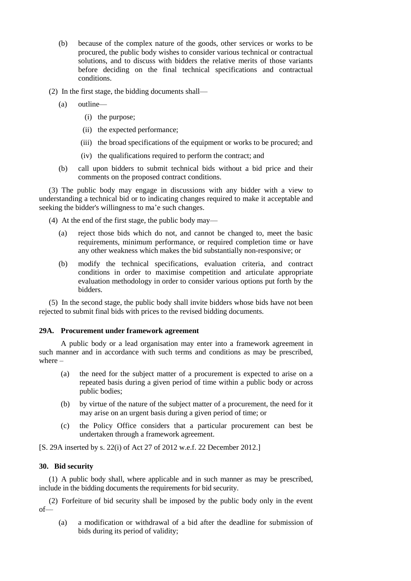- (b) because of the complex nature of the goods, other services or works to be procured, the public body wishes to consider various technical or contractual solutions, and to discuss with bidders the relative merits of those variants before deciding on the final technical specifications and contractual conditions.
- (2) In the first stage, the bidding documents shall—
	- (a) outline—
		- (i) the purpose;
		- (ii) the expected performance;
		- (iii) the broad specifications of the equipment or works to be procured; and
		- (iv) the qualifications required to perform the contract; and
	- (b) call upon bidders to submit technical bids without a bid price and their comments on the proposed contract conditions.

(3) The public body may engage in discussions with any bidder with a view to understanding a technical bid or to indicating changes required to make it acceptable and seeking the bidder's willingness to ma'e such changes.

(4) At the end of the first stage, the public body may—

- (a) reject those bids which do not, and cannot be changed to, meet the basic requirements, minimum performance, or required completion time or have any other weakness which makes the bid substantially non-responsive; or
- (b) modify the technical specifications, evaluation criteria, and contract conditions in order to maximise competition and articulate appropriate evaluation methodology in order to consider various options put forth by the bidders.

(5) In the second stage, the public body shall invite bidders whose bids have not been rejected to submit final bids with prices to the revised bidding documents.

## **29A. Procurement under framework agreement**

A public body or a lead organisation may enter into a framework agreement in such manner and in accordance with such terms and conditions as may be prescribed, where –

- (a) the need for the subject matter of a procurement is expected to arise on a repeated basis during a given period of time within a public body or across public bodies;
- (b) by virtue of the nature of the subject matter of a procurement, the need for it may arise on an urgent basis during a given period of time; or
- (c) the Policy Office considers that a particular procurement can best be undertaken through a framework agreement.

[S. 29A inserted by s. 22(i) of Act 27 of 2012 w.e.f. 22 December 2012.]

# **30. Bid security**

(1) A public body shall, where applicable and in such manner as may be prescribed, include in the bidding documents the requirements for bid security.

(2) Forfeiture of bid security shall be imposed by the public body only in the event of—

(a) a modification or withdrawal of a bid after the deadline for submission of bids during its period of validity;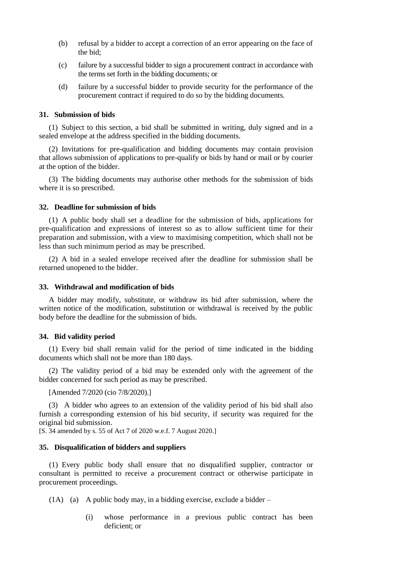- (b) refusal by a bidder to accept a correction of an error appearing on the face of the bid;
- (c) failure by a successful bidder to sign a procurement contract in accordance with the terms set forth in the bidding documents; or
- (d) failure by a successful bidder to provide security for the performance of the procurement contract if required to do so by the bidding documents.

#### **31. Submission of bids**

(1) Subject to this section, a bid shall be submitted in writing, duly signed and in a sealed envelope at the address specified in the bidding documents.

(2) Invitations for pre-qualification and bidding documents may contain provision that allows submission of applications to pre-qualify or bids by hand or mail or by courier at the option of the bidder.

(3) The bidding documents may authorise other methods for the submission of bids where it is so prescribed.

### **32. Deadline for submission of bids**

(1) A public body shall set a deadline for the submission of bids, applications for pre-qualification and expressions of interest so as to allow sufficient time for their preparation and submission, with a view to maximising competition, which shall not be less than such minimum period as may be prescribed.

(2) A bid in a sealed envelope received after the deadline for submission shall be returned unopened to the bidder.

### **33. Withdrawal and modification of bids**

A bidder may modify, substitute, or withdraw its bid after submission, where the written notice of the modification, substitution or withdrawal is received by the public body before the deadline for the submission of bids.

### **34. Bid validity period**

(1) Every bid shall remain valid for the period of time indicated in the bidding documents which shall not be more than 180 days.

(2) The validity period of a bid may be extended only with the agreement of the bidder concerned for such period as may be prescribed.

[Amended 7/2020 (cio 7/8/2020).]

(3) A bidder who agrees to an extension of the validity period of his bid shall also furnish a corresponding extension of his bid security, if security was required for the original bid submission.

[S. 34 amended by s. 55 of Act 7 of 2020 w.e.f. 7 August 2020.]

#### **35. Disqualification of bidders and suppliers**

(1) Every public body shall ensure that no disqualified supplier, contractor or consultant is permitted to receive a procurement contract or otherwise participate in procurement proceedings.

(1A) (a) A public body may, in a bidding exercise, exclude a bidder –

(i) whose performance in a previous public contract has been deficient; or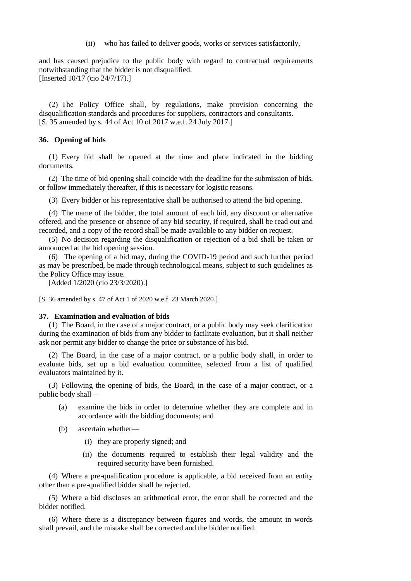(ii) who has failed to deliver goods, works or services satisfactorily,

and has caused prejudice to the public body with regard to contractual requirements notwithstanding that the bidder is not disqualified. [Inserted 10/17 (cio 24/7/17).]

(2) The Policy Office shall, by regulations, make provision concerning the disqualification standards and procedures for suppliers, contractors and consultants. [S. 35 amended by s. 44 of Act 10 of 2017 w.e.f. 24 July 2017.]

## **36. Opening of bids**

(1) Every bid shall be opened at the time and place indicated in the bidding documents.

(2) The time of bid opening shall coincide with the deadline for the submission of bids, or follow immediately thereafter, if this is necessary for logistic reasons.

(3) Every bidder or his representative shall be authorised to attend the bid opening.

(4) The name of the bidder, the total amount of each bid, any discount or alternative offered, and the presence or absence of any bid security, if required, shall be read out and recorded, and a copy of the record shall be made available to any bidder on request.

(5) No decision regarding the disqualification or rejection of a bid shall be taken or announced at the bid opening session.

(6) The opening of a bid may, during the COVID-19 period and such further period as may be prescribed, be made through technological means, subject to such guidelines as the Policy Office may issue.

[Added 1/2020 (cio 23/3/2020).]

[S. 36 amended by s. 47 of Act 1 of 2020 w.e.f. 23 March 2020.]

### **37. Examination and evaluation of bids**

(1) The Board, in the case of a major contract, or a public body may seek clarification during the examination of bids from any bidder to facilitate evaluation, but it shall neither ask nor permit any bidder to change the price or substance of his bid.

(2) The Board, in the case of a major contract, or a public body shall, in order to evaluate bids, set up a bid evaluation committee, selected from a list of qualified evaluators maintained by it.

(3) Following the opening of bids, the Board, in the case of a major contract, or a public body shall—

- (a) examine the bids in order to determine whether they are complete and in accordance with the bidding documents; and
- (b) ascertain whether—
	- (i) they are properly signed; and
	- (ii) the documents required to establish their legal validity and the required security have been furnished.

(4) Where a pre-qualification procedure is applicable, a bid received from an entity other than a pre-qualified bidder shall be rejected.

(5) Where a bid discloses an arithmetical error, the error shall be corrected and the bidder notified.

(6) Where there is a discrepancy between figures and words, the amount in words shall prevail, and the mistake shall be corrected and the bidder notified.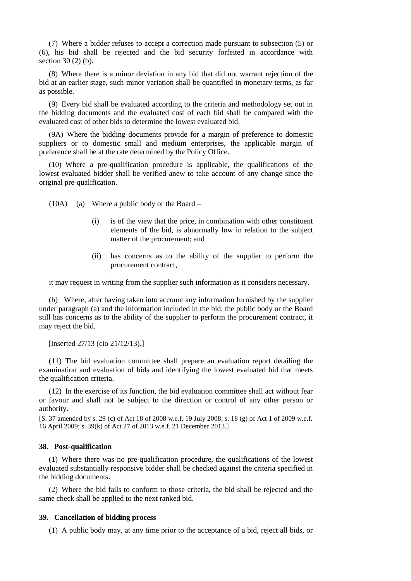(7) Where a bidder refuses to accept a correction made pursuant to subsection (5) or (6), his bid shall be rejected and the bid security forfeited in accordance with section 30 (2) (b).

(8) Where there is a minor deviation in any bid that did not warrant rejection of the bid at an earlier stage, such minor variation shall be quantified in monetary terms, as far as possible.

(9) Every bid shall be evaluated according to the criteria and methodology set out in the bidding documents and the evaluated cost of each bid shall be compared with the evaluated cost of other bids to determine the lowest evaluated bid.

(9A) Where the bidding documents provide for a margin of preference to domestic suppliers or to domestic small and medium enterprises, the applicable margin of preference shall be at the rate determined by the Policy Office.

(10) Where a pre-qualification procedure is applicable, the qualifications of the lowest evaluated bidder shall be verified anew to take account of any change since the original pre-qualification.

(10A) (a) Where a public body or the Board –

- (i) is of the view that the price, in combination with other constituent elements of the bid, is abnormally low in relation to the subject matter of the procurement; and
- (ii) has concerns as to the ability of the supplier to perform the procurement contract,

it may request in writing from the supplier such information as it considers necessary.

(b) Where, after having taken into account any information furnished by the supplier under paragraph (a) and the information included in the bid, the public body or the Board still has concerns as to the ability of the supplier to perform the procurement contract, it may reject the bid.

[Inserted 27/13 (cio 21/12/13).]

(11) The bid evaluation committee shall prepare an evaluation report detailing the examination and evaluation of bids and identifying the lowest evaluated bid that meets the qualification criteria.

(12) In the exercise of its function, the bid evaluation committee shall act without fear or favour and shall not be subject to the direction or control of any other person or authority.

[S. 37 amended by s. 29 (c) of Act 18 of 2008 w.e.f. 19 July 2008; s. 18 (g) of Act 1 of 2009 w.e.f. 16 April 2009; s. 39(k) of Act 27 of 2013 w.e.f. 21 December 2013.]

### **38. Post-qualification**

(1) Where there was no pre-qualification procedure, the qualifications of the lowest evaluated substantially responsive bidder shall be checked against the criteria specified in the bidding documents.

(2) Where the bid fails to conform to those criteria, the bid shall be rejected and the same check shall be applied to the next ranked bid.

## **39. Cancellation of bidding process**

(1) A public body may, at any time prior to the acceptance of a bid, reject all bids, or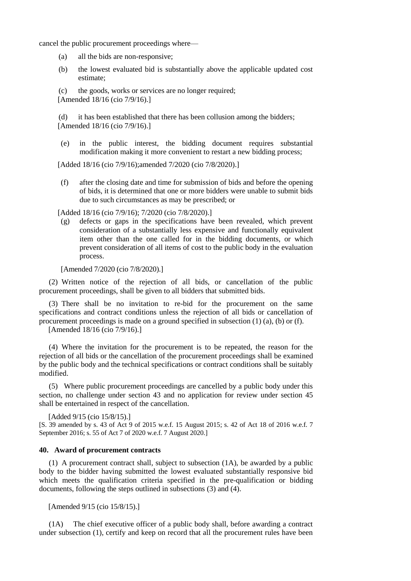cancel the public procurement proceedings where—

- (a) all the bids are non-responsive;
- (b) the lowest evaluated bid is substantially above the applicable updated cost estimate;

(c) the goods, works or services are no longer required; [Amended 18/16 (cio 7/9/16).]

(d) it has been established that there has been collusion among the bidders; [Amended 18/16 (cio 7/9/16).]

(e) in the public interest, the bidding document requires substantial modification making it more convenient to restart a new bidding process;

[Added 18/16 (cio 7/9/16);amended 7/2020 (cio 7/8/2020).]

(f) after the closing date and time for submission of bids and before the opening of bids, it is determined that one or more bidders were unable to submit bids due to such circumstances as may be prescribed; or

[Added 18/16 (cio 7/9/16); 7/2020 (cio 7/8/2020).]

(g) defects or gaps in the specifications have been revealed, which prevent consideration of a substantially less expensive and functionally equivalent item other than the one called for in the bidding documents, or which prevent consideration of all items of cost to the public body in the evaluation process.

[Amended 7/2020 (cio 7/8/2020).]

(2) Written notice of the rejection of all bids, or cancellation of the public procurement proceedings, shall be given to all bidders that submitted bids.

(3) There shall be no invitation to re-bid for the procurement on the same specifications and contract conditions unless the rejection of all bids or cancellation of procurement proceedings is made on a ground specified in subsection (1) (a), (b) or (f).

[Amended 18/16 (cio 7/9/16).]

(4) Where the invitation for the procurement is to be repeated, the reason for the rejection of all bids or the cancellation of the procurement proceedings shall be examined by the public body and the technical specifications or contract conditions shall be suitably modified.

(5) Where public procurement proceedings are cancelled by a public body under this section, no challenge under section 43 and no application for review under section 45 shall be entertained in respect of the cancellation.

[Added 9/15 (cio 15/8/15).]

[S. 39 amended by s. 43 of Act 9 of 2015 w.e.f. 15 August 2015; s. 42 of Act 18 of 2016 w.e.f. 7 September 2016; s. 55 of Act 7 of 2020 w.e.f. 7 August 2020.]

### **40. Award of procurement contracts**

(1) A procurement contract shall, subject to subsection (1A), be awarded by a public body to the bidder having submitted the lowest evaluated substantially responsive bid which meets the qualification criteria specified in the pre-qualification or bidding documents, following the steps outlined in subsections (3) and (4).

[Amended 9/15 (cio 15/8/15).]

(1A) The chief executive officer of a public body shall, before awarding a contract under subsection (1), certify and keep on record that all the procurement rules have been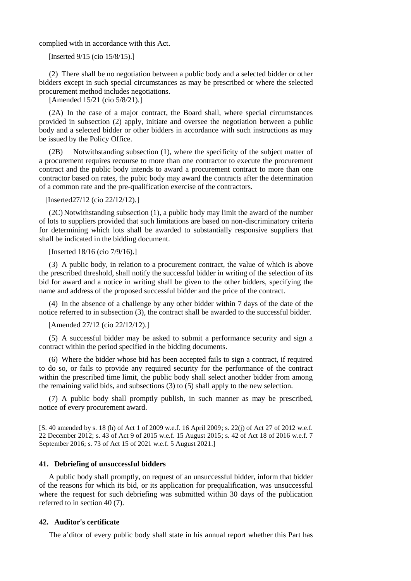complied with in accordance with this Act.

[Inserted 9/15 (cio 15/8/15).]

(2) There shall be no negotiation between a public body and a selected bidder or other bidders except in such special circumstances as may be prescribed or where the selected procurement method includes negotiations.

[Amended 15/21 (cio 5/8/21).]

(2A) In the case of a major contract, the Board shall, where special circumstances provided in subsection (2) apply, initiate and oversee the negotiation between a public body and a selected bidder or other bidders in accordance with such instructions as may be issued by the Policy Office.

(2B) Notwithstanding subsection (1), where the specificity of the subject matter of a procurement requires recourse to more than one contractor to execute the procurement contract and the public body intends to award a procurement contract to more than one contractor based on rates, the pubic body may award the contracts after the determination of a common rate and the pre-qualification exercise of the contractors.

[Inserted27/12 (cio 22/12/12).]

(2C) Notwithstanding subsection (1), a public body may limit the award of the number of lots to suppliers provided that such limitations are based on non-discriminatory criteria for determining which lots shall be awarded to substantially responsive suppliers that shall be indicated in the bidding document.

[Inserted 18/16 (cio 7/9/16).]

(3) A public body, in relation to a procurement contract, the value of which is above the prescribed threshold, shall notify the successful bidder in writing of the selection of its bid for award and a notice in writing shall be given to the other bidders, specifying the name and address of the proposed successful bidder and the price of the contract.

(4) In the absence of a challenge by any other bidder within 7 days of the date of the notice referred to in subsection (3), the contract shall be awarded to the successful bidder.

[Amended 27/12 (cio 22/12/12).]

(5) A successful bidder may be asked to submit a performance security and sign a contract within the period specified in the bidding documents.

(6) Where the bidder whose bid has been accepted fails to sign a contract, if required to do so, or fails to provide any required security for the performance of the contract within the prescribed time limit, the public body shall select another bidder from among the remaining valid bids, and subsections (3) to (5) shall apply to the new selection.

(7) A public body shall promptly publish, in such manner as may be prescribed, notice of every procurement award.

[S. 40 amended by s. 18 (h) of Act 1 of 2009 w.e.f. 16 April 2009; s. 22(j) of Act 27 of 2012 w.e.f. 22 December 2012; s. 43 of Act 9 of 2015 w.e.f. 15 August 2015; s. 42 of Act 18 of 2016 w.e.f. 7 September 2016; s. 73 of Act 15 of 2021 w.e.f. 5 August 2021.]

## **41. Debriefing of unsuccessful bidders**

A public body shall promptly, on request of an unsuccessful bidder, inform that bidder of the reasons for which its bid, or its application for prequalification, was unsuccessful where the request for such debriefing was submitted within 30 days of the publication referred to in section 40 (7).

#### **42. Auditor's certificate**

The a'ditor of every public body shall state in his annual report whether this Part has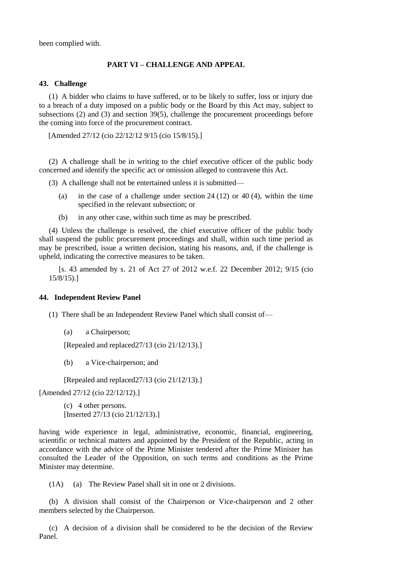been complied with.

## **PART VI – CHALLENGE AND APPEAL**

## **43. Challenge**

(1) A bidder who claims to have suffered, or to be likely to suffer, loss or injury due to a breach of a duty imposed on a public body or the Board by this Act may, subject to subsections (2) and (3) and section 39(5), challenge the procurement proceedings before the coming into force of the procurement contract.

[Amended 27/12 (cio 22/12/12 9/15 (cio 15/8/15).]

(2) A challenge shall be in writing to the chief executive officer of the public body concerned and identify the specific act or omission alleged to contravene this Act.

(3) A challenge shall not be entertained unless it is submitted—

- (a) in the case of a challenge under section 24 (12) or 40 (4), within the time specified in the relevant subsection; or
- (b) in any other case, within such time as may be prescribed.

(4) Unless the challenge is resolved, the chief executive officer of the public body shall suspend the public procurement proceedings and shall, within such time period as may be prescribed, issue a written decision, stating his reasons, and, if the challenge is upheld, indicating the corrective measures to be taken.

[s. 43 amended by s. 21 of Act 27 of 2012 w.e.f. 22 December 2012; 9/15 (cio 15/8/15).]

## **44. Independent Review Panel**

- (1) There shall be an Independent Review Panel which shall consist of—
	- (a) a Chairperson;

[Repealed and replaced27/13 (cio 21/12/13).]

(b) a Vice-chairperson; and

[Repealed and replaced27/13 (cio 21/12/13).]

[Amended 27/12 (cio 22/12/12).]

(c) 4 other persons. [Inserted 27/13 (cio 21/12/13).]

having wide experience in legal, administrative, economic, financial, engineering, scientific or technical matters and appointed by the President of the Republic, acting in accordance with the advice of the Prime Minister tendered after the Prime Minister has consulted the Leader of the Opposition, on such terms and conditions as the Prime Minister may determine.

(1A) (a) The Review Panel shall sit in one or 2 divisions.

(b) A division shall consist of the Chairperson or Vice-chairperson and 2 other members selected by the Chairperson.

(c) A decision of a division shall be considered to be the decision of the Review Panel.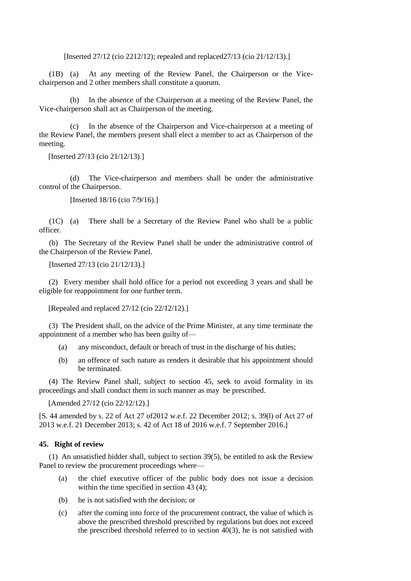[Inserted 27/12 (cio 2212/12); repealed and replaced27/13 (cio 21/12/13).]

(1B) (a) At any meeting of the Review Panel, the Chairperson or the Vicechairperson and 2 other members shall constitute a quorum.

(b) In the absence of the Chairperson at a meeting of the Review Panel, the Vice-chairperson shall act as Chairperson of the meeting.

(c) In the absence of the Chairperson and Vice-chairperson at a meeting of the Review Panel, the members present shall elect a member to act as Chairperson of the meeting.

[Inserted 27/13 (cio 21/12/13).]

(d) The Vice-chairperson and members shall be under the administrative control of the Chairperson.

[Inserted 18/16 (cio 7/9/16).]

(1C) (a) There shall be a Secretary of the Review Panel who shall be a public officer.

(b) The Secretary of the Review Panel shall be under the administrative control of the Chairperson of the Review Panel.

[Inserted 27/13 (cio 21/12/13).]

(2) Every member shall hold office for a period not exceeding 3 years and shall be eligible for reappointment for one further term.

[Repealed and replaced 27/12 (cio 22/12/12).]

(3) The President shall, on the advice of the Prime Minister, at any time terminate the appointment of a member who has been guilty of—

- (a) any misconduct, default or breach of trust in the discharge of his duties;
- (b) an offence of such nature as renders it desirable that his appointment should be terminated.

(4) The Review Panel shall, subject to section 45, seek to avoid formality in its proceedings and shall conduct them in such manner as may be prescribed.

[Amended 27/12 (cio 22/12/12).]

[S. 44 amended by s. 22 of Act 27 of2012 w.e.f. 22 December 2012; s. 39(l) of Act 27 of 2013 w.e.f. 21 December 2013; s. 42 of Act 18 of 2016 w.e.f. 7 September 2016.]

## **45. Right of review**

(1) An unsatisfied bidder shall, subject to section 39(5), be entitled to ask the Review Panel to review the procurement proceedings where—

- (a) the chief executive officer of the public body does not issue a decision within the time specified in section 43 (4);
- (b) he is not satisfied with the decision; or
- (c) after the coming into force of the procurement contract, the value of which is above the prescribed threshold prescribed by regulations but does not exceed the prescribed threshold referred to in section 40(3), he is not satisfied with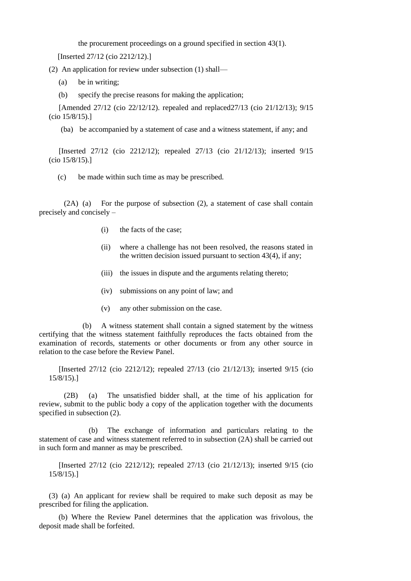the procurement proceedings on a ground specified in section 43(1).

[Inserted 27/12 (cio 2212/12).]

(2) An application for review under subsection (1) shall—

- (a) be in writing;
- (b) specify the precise reasons for making the application;

[Amended 27/12 (cio 22/12/12). repealed and replaced27/13 (cio 21/12/13); 9/15 (cio 15/8/15).]

(ba) be accompanied by a statement of case and a witness statement, if any; and

[Inserted 27/12 (cio 2212/12); repealed 27/13 (cio 21/12/13); inserted 9/15 (cio 15/8/15).]

(c) be made within such time as may be prescribed.

(2A) (a) For the purpose of subsection (2), a statement of case shall contain precisely and concisely –

- (i) the facts of the case;
- (ii) where a challenge has not been resolved, the reasons stated in the written decision issued pursuant to section 43(4), if any;
- (iii) the issues in dispute and the arguments relating thereto;
- (iv) submissions on any point of law; and
- (v) any other submission on the case.

(b) A witness statement shall contain a signed statement by the witness certifying that the witness statement faithfully reproduces the facts obtained from the examination of records, statements or other documents or from any other source in relation to the case before the Review Panel.

[Inserted 27/12 (cio 2212/12); repealed 27/13 (cio 21/12/13); inserted 9/15 (cio 15/8/15).]

(2B) (a) The unsatisfied bidder shall, at the time of his application for review, submit to the public body a copy of the application together with the documents specified in subsection  $(2)$ .

(b) The exchange of information and particulars relating to the statement of case and witness statement referred to in subsection (2A) shall be carried out in such form and manner as may be prescribed.

[Inserted 27/12 (cio 2212/12); repealed 27/13 (cio 21/12/13); inserted 9/15 (cio 15/8/15).]

(3) (a) An applicant for review shall be required to make such deposit as may be prescribed for filing the application.

(b) Where the Review Panel determines that the application was frivolous, the deposit made shall be forfeited.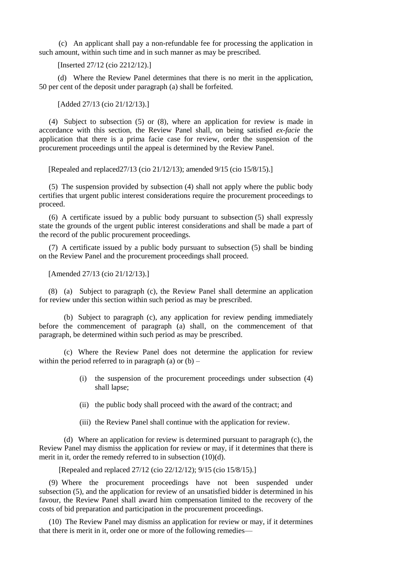(c) An applicant shall pay a non-refundable fee for processing the application in such amount, within such time and in such manner as may be prescribed.

[Inserted 27/12 (cio 2212/12).]

(d) Where the Review Panel determines that there is no merit in the application, 50 per cent of the deposit under paragraph (a) shall be forfeited.

[Added 27/13 (cio 21/12/13).]

(4) Subject to subsection (5) or (8), where an application for review is made in accordance with this section, the Review Panel shall, on being satisfied *ex-facie* the application that there is a prima facie case for review, order the suspension of the procurement proceedings until the appeal is determined by the Review Panel.

[Repealed and replaced27/13 (cio 21/12/13); amended 9/15 (cio 15/8/15).]

(5) The suspension provided by subsection (4) shall not apply where the public body certifies that urgent public interest considerations require the procurement proceedings to proceed.

(6) A certificate issued by a public body pursuant to subsection (5) shall expressly state the grounds of the urgent public interest considerations and shall be made a part of the record of the public procurement proceedings.

(7) A certificate issued by a public body pursuant to subsection (5) shall be binding on the Review Panel and the procurement proceedings shall proceed.

[Amended 27/13 (cio 21/12/13).]

(8) (a) Subject to paragraph (c), the Review Panel shall determine an application for review under this section within such period as may be prescribed.

(b) Subject to paragraph (c), any application for review pending immediately before the commencement of paragraph (a) shall, on the commencement of that paragraph, be determined within such period as may be prescribed.

(c) Where the Review Panel does not determine the application for review within the period referred to in paragraph (a) or  $(b)$  –

- (i) the suspension of the procurement proceedings under subsection (4) shall lapse;
- (ii) the public body shall proceed with the award of the contract; and
- (iii) the Review Panel shall continue with the application for review.

(d) Where an application for review is determined pursuant to paragraph (c), the Review Panel may dismiss the application for review or may, if it determines that there is merit in it, order the remedy referred to in subsection (10)(d).

[Repealed and replaced 27/12 (cio 22/12/12); 9/15 (cio 15/8/15).]

(9) Where the procurement proceedings have not been suspended under subsection (5), and the application for review of an unsatisfied bidder is determined in his favour, the Review Panel shall award him compensation limited to the recovery of the costs of bid preparation and participation in the procurement proceedings.

(10) The Review Panel may dismiss an application for review or may, if it determines that there is merit in it, order one or more of the following remedies—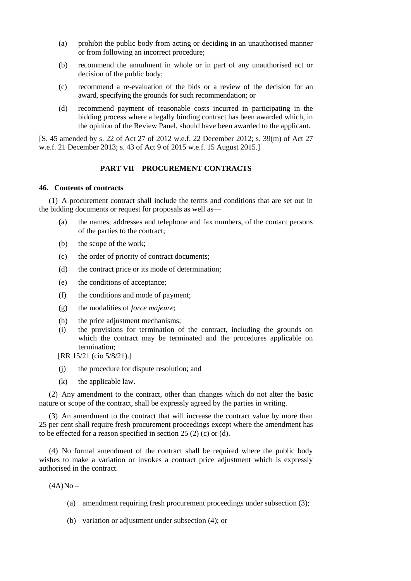- (a) prohibit the public body from acting or deciding in an unauthorised manner or from following an incorrect procedure;
- (b) recommend the annulment in whole or in part of any unauthorised act or decision of the public body;
- (c) recommend a re-evaluation of the bids or a review of the decision for an award, specifying the grounds for such recommendation; or
- (d) recommend payment of reasonable costs incurred in participating in the bidding process where a legally binding contract has been awarded which, in the opinion of the Review Panel, should have been awarded to the applicant.

[S. 45 amended by s. 22 of Act 27 of 2012 w.e.f. 22 December 2012; s. 39(m) of Act 27 w.e.f. 21 December 2013; s. 43 of Act 9 of 2015 w.e.f. 15 August 2015.]

## **PART VII – PROCUREMENT CONTRACTS**

### **46. Contents of contracts**

(1) A procurement contract shall include the terms and conditions that are set out in the bidding documents or request for proposals as well as—

- (a) the names, addresses and telephone and fax numbers, of the contact persons of the parties to the contract;
- (b) the scope of the work;
- (c) the order of priority of contract documents;
- (d) the contract price or its mode of determination;
- (e) the conditions of acceptance;
- (f) the conditions and mode of payment;
- (g) the modalities of *force majeure*;
- (h) the price adjustment mechanisms;
- (i) the provisions for termination of the contract, including the grounds on which the contract may be terminated and the procedures applicable on termination;
- [RR 15/21 (cio 5/8/21).]
- (j) the procedure for dispute resolution; and
- (k) the applicable law.

(2) Any amendment to the contract, other than changes which do not alter the basic nature or scope of the contract, shall be expressly agreed by the parties in writing.

(3) An amendment to the contract that will increase the contract value by more than 25 per cent shall require fresh procurement proceedings except where the amendment has to be effected for a reason specified in section 25 (2) (c) or (d).

(4) No formal amendment of the contract shall be required where the public body wishes to make a variation or invokes a contract price adjustment which is expressly authorised in the contract.

 $(4A)No -$ 

- (a) amendment requiring fresh procurement proceedings under subsection (3);
- (b) variation or adjustment under subsection (4); or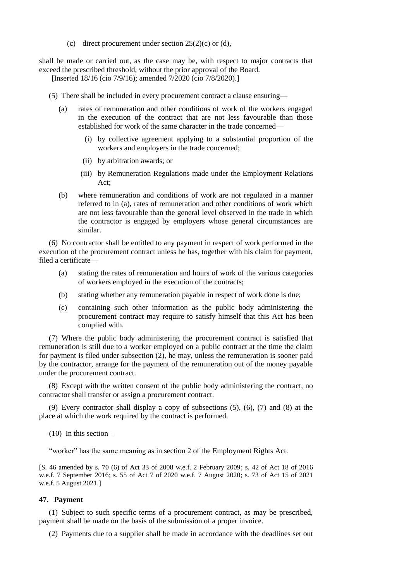(c) direct procurement under section  $25(2)(c)$  or (d),

shall be made or carried out, as the case may be, with respect to major contracts that exceed the prescribed threshold, without the prior approval of the Board.

[Inserted 18/16 (cio 7/9/16); amended 7/2020 (cio 7/8/2020).]

- (5) There shall be included in every procurement contract a clause ensuring—
	- (a) rates of remuneration and other conditions of work of the workers engaged in the execution of the contract that are not less favourable than those established for work of the same character in the trade concerned—
		- (i) by collective agreement applying to a substantial proportion of the workers and employers in the trade concerned;
		- (ii) by arbitration awards; or
		- (iii) by Remuneration Regulations made under the Employment Relations Act;
	- (b) where remuneration and conditions of work are not regulated in a manner referred to in (a), rates of remuneration and other conditions of work which are not less favourable than the general level observed in the trade in which the contractor is engaged by employers whose general circumstances are similar.

(6) No contractor shall be entitled to any payment in respect of work performed in the execution of the procurement contract unless he has, together with his claim for payment, filed a certificate—

- (a) stating the rates of remuneration and hours of work of the various categories of workers employed in the execution of the contracts;
- (b) stating whether any remuneration payable in respect of work done is due;
- (c) containing such other information as the public body administering the procurement contract may require to satisfy himself that this Act has been complied with.

(7) Where the public body administering the procurement contract is satisfied that remuneration is still due to a worker employed on a public contract at the time the claim for payment is filed under subsection (2), he may, unless the remuneration is sooner paid by the contractor, arrange for the payment of the remuneration out of the money payable under the procurement contract.

(8) Except with the written consent of the public body administering the contract, no contractor shall transfer or assign a procurement contract.

(9) Every contractor shall display a copy of subsections (5), (6), (7) and (8) at the place at which the work required by the contract is performed.

 $(10)$  In this section –

"worker" has the same meaning as in section 2 of the Employment Rights Act.

[S. 46 amended by s. 70 (6) of Act 33 of 2008 w.e.f. 2 February 2009; s. 42 of Act 18 of 2016 w.e.f. 7 September 2016; s. 55 of Act 7 of 2020 w.e.f. 7 August 2020; s. 73 of Act 15 of 2021 w.e.f. 5 August 2021.]

### **47. Payment**

(1) Subject to such specific terms of a procurement contract, as may be prescribed, payment shall be made on the basis of the submission of a proper invoice.

(2) Payments due to a supplier shall be made in accordance with the deadlines set out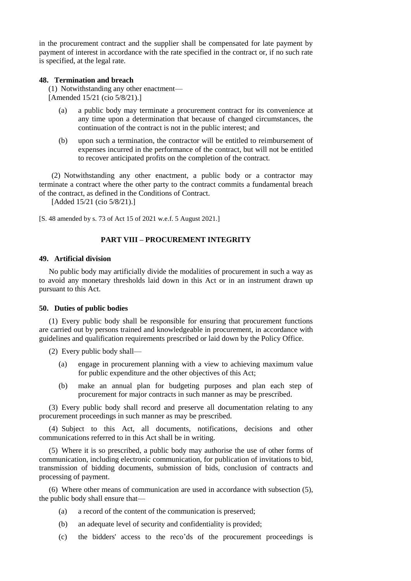in the procurement contract and the supplier shall be compensated for late payment by payment of interest in accordance with the rate specified in the contract or, if no such rate is specified, at the legal rate.

## **48. Termination and breach**

(1) Notwithstanding any other enactment— [Amended 15/21 (cio 5/8/21).]

- (a) a public body may terminate a procurement contract for its convenience at any time upon a determination that because of changed circumstances, the continuation of the contract is not in the public interest; and
- (b) upon such a termination, the contractor will be entitled to reimbursement of expenses incurred in the performance of the contract, but will not be entitled to recover anticipated profits on the completion of the contract.

(2) Notwithstanding any other enactment, a public body or a contractor may terminate a contract where the other party to the contract commits a fundamental breach of the contract, as defined in the Conditions of Contract.

[Added 15/21 (cio 5/8/21).]

[S. 48 amended by s. 73 of Act 15 of 2021 w.e.f. 5 August 2021.]

## **PART VIII – PROCUREMENT INTEGRITY**

#### **49. Artificial division**

No public body may artificially divide the modalities of procurement in such a way as to avoid any monetary thresholds laid down in this Act or in an instrument drawn up pursuant to this Act.

#### **50. Duties of public bodies**

(1) Every public body shall be responsible for ensuring that procurement functions are carried out by persons trained and knowledgeable in procurement, in accordance with guidelines and qualification requirements prescribed or laid down by the Policy Office.

(2) Every public body shall—

- (a) engage in procurement planning with a view to achieving maximum value for public expenditure and the other objectives of this Act;
- (b) make an annual plan for budgeting purposes and plan each step of procurement for major contracts in such manner as may be prescribed.

(3) Every public body shall record and preserve all documentation relating to any procurement proceedings in such manner as may be prescribed.

(4) Subject to this Act, all documents, notifications, decisions and other communications referred to in this Act shall be in writing.

(5) Where it is so prescribed, a public body may authorise the use of other forms of communication, including electronic communication, for publication of invitations to bid, transmission of bidding documents, submission of bids, conclusion of contracts and processing of payment.

(6) Where other means of communication are used in accordance with subsection (5), the public body shall ensure that—

- (a) a record of the content of the communication is preserved;
- (b) an adequate level of security and confidentiality is provided;
- (c) the bidders' access to the reco'ds of the procurement proceedings is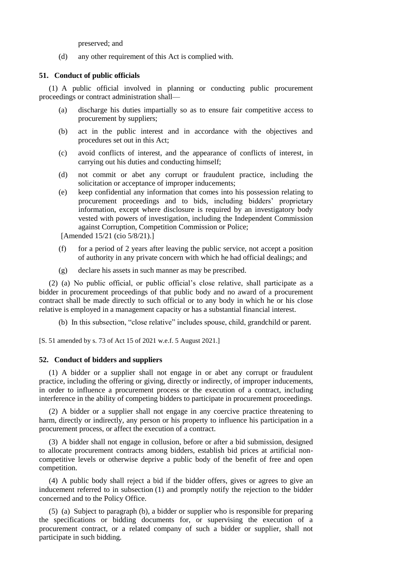preserved; and

(d) any other requirement of this Act is complied with.

## **51. Conduct of public officials**

(1) A public official involved in planning or conducting public procurement proceedings or contract administration shall—

- (a) discharge his duties impartially so as to ensure fair competitive access to procurement by suppliers;
- (b) act in the public interest and in accordance with the objectives and procedures set out in this Act;
- (c) avoid conflicts of interest, and the appearance of conflicts of interest, in carrying out his duties and conducting himself;
- (d) not commit or abet any corrupt or fraudulent practice, including the solicitation or acceptance of improper inducements;
- (e) keep confidential any information that comes into his possession relating to procurement proceedings and to bids, including bidders' proprietary information, except where disclosure is required by an investigatory body vested with powers of investigation, including the Independent Commission against Corruption, Competition Commission or Police;

[Amended 15/21 (cio 5/8/21).]

- (f) for a period of 2 years after leaving the public service, not accept a position of authority in any private concern with which he had official dealings; and
- (g) declare his assets in such manner as may be prescribed.

(2) (a) No public official, or public official's close relative, shall participate as a bidder in procurement proceedings of that public body and no award of a procurement contract shall be made directly to such official or to any body in which he or his close relative is employed in a management capacity or has a substantial financial interest.

(b) In this subsection, "close relative" includes spouse, child, grandchild or parent.

[S. 51 amended by s. 73 of Act 15 of 2021 w.e.f. 5 August 2021.]

## **52. Conduct of bidders and suppliers**

(1) A bidder or a supplier shall not engage in or abet any corrupt or fraudulent practice, including the offering or giving, directly or indirectly, of improper inducements, in order to influence a procurement process or the execution of a contract, including interference in the ability of competing bidders to participate in procurement proceedings.

(2) A bidder or a supplier shall not engage in any coercive practice threatening to harm, directly or indirectly, any person or his property to influence his participation in a procurement process, or affect the execution of a contract.

(3) A bidder shall not engage in collusion, before or after a bid submission, designed to allocate procurement contracts among bidders, establish bid prices at artificial noncompetitive levels or otherwise deprive a public body of the benefit of free and open competition.

(4) A public body shall reject a bid if the bidder offers, gives or agrees to give an inducement referred to in subsection (1) and promptly notify the rejection to the bidder concerned and to the Policy Office.

(5) (a) Subject to paragraph (b), a bidder or supplier who is responsible for preparing the specifications or bidding documents for, or supervising the execution of a procurement contract, or a related company of such a bidder or supplier, shall not participate in such bidding.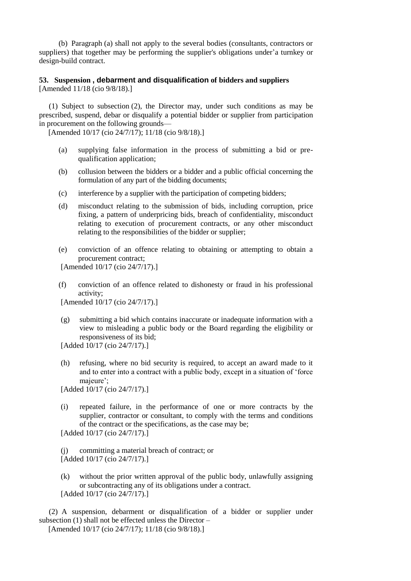(b) Paragraph (a) shall not apply to the several bodies (consultants, contractors or suppliers) that together may be performing the supplier's obligations under'a turnkey or design-build contract.

## **53. Suspension , debarment and disqualification of bidders and suppliers** [Amended 11/18 (cio 9/8/18).]

(1) Subject to subsection (2), the Director may, under such conditions as may be prescribed, suspend, debar or disqualify a potential bidder or supplier from participation in procurement on the following grounds—

[Amended 10/17 (cio 24/7/17); 11/18 (cio 9/8/18).]

- (a) supplying false information in the process of submitting a bid or prequalification application;
- (b) collusion between the bidders or a bidder and a public official concerning the formulation of any part of the bidding documents;
- (c) interference by a supplier with the participation of competing bidders;
- (d) misconduct relating to the submission of bids, including corruption, price fixing, a pattern of underpricing bids, breach of confidentiality, misconduct relating to execution of procurement contracts, or any other misconduct relating to the responsibilities of the bidder or supplier;
- (e) conviction of an offence relating to obtaining or attempting to obtain a procurement contract;

[Amended 10/17 (cio 24/7/17).]

(f) conviction of an offence related to dishonesty or fraud in his professional activity;

[Amended 10/17 (cio 24/7/17).]

(g) submitting a bid which contains inaccurate or inadequate information with a view to misleading a public body or the Board regarding the eligibility or responsiveness of its bid;

[Added 10/17 (cio 24/7/17).]

(h) refusing, where no bid security is required, to accept an award made to it and to enter into a contract with a public body, except in a situation of 'force majeure';

[Added 10/17 (cio 24/7/17).]

(i) repeated failure, in the performance of one or more contracts by the supplier, contractor or consultant, to comply with the terms and conditions of the contract or the specifications, as the case may be;

[Added 10/17 (cio 24/7/17).]

(j) committing a material breach of contract; or [Added 10/17 (cio 24/7/17).]

(k) without the prior written approval of the public body, unlawfully assigning or subcontracting any of its obligations under a contract. [Added 10/17 (cio 24/7/17).]

(2) A suspension, debarment or disqualification of a bidder or supplier under subsection (1) shall not be effected unless the Director –

[Amended 10/17 (cio 24/7/17); 11/18 (cio 9/8/18).]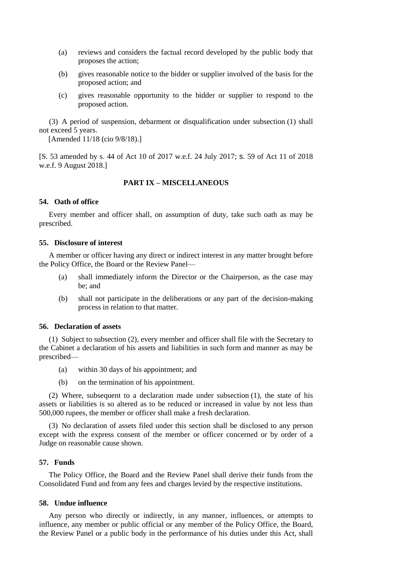- (a) reviews and considers the factual record developed by the public body that proposes the action;
- (b) gives reasonable notice to the bidder or supplier involved of the basis for the proposed action; and
- (c) gives reasonable opportunity to the bidder or supplier to respond to the proposed action.

(3) A period of suspension, debarment or disqualification under subsection (1) shall not exceed 5 years.

[Amended 11/18 (cio 9/8/18).]

[S. 53 amended by s. 44 of Act 10 of 2017 w.e.f. 24 July 2017; s. 59 of Act 11 of 2018 w.e.f. 9 August 2018.]

## **PART IX – MISCELLANEOUS**

### **54. Oath of office**

Every member and officer shall, on assumption of duty, take such oath as may be prescribed.

## **55. Disclosure of interest**

A member or officer having any direct or indirect interest in any matter brought before the Policy Office, the Board or the Review Panel—

- (a) shall immediately inform the Director or the Chairperson, as the case may be; and
- (b) shall not participate in the deliberations or any part of the decision-making process in relation to that matter.

### **56. Declaration of assets**

(1) Subject to subsection (2), every member and officer shall file with the Secretary to the Cabinet a declaration of his assets and liabilities in such form and manner as may be prescribed—

- (a) within 30 days of his appointment; and
- (b) on the termination of his appointment.

(2) Where, subsequent to a declaration made under subsection (1), the state of his assets or liabilities is so altered as to be reduced or increased in value by not less than 500,000 rupees, the member or officer shall make a fresh declaration.

(3) No declaration of assets filed under this section shall be disclosed to any person except with the express consent of the member or officer concerned or by order of a Judge on reasonable cause shown.

#### **57. Funds**

The Policy Office, the Board and the Review Panel shall derive their funds from the Consolidated Fund and from any fees and charges levied by the respective institutions.

## **58. Undue influence**

Any person who directly or indirectly, in any manner, influences, or attempts to influence, any member or public official or any member of the Policy Office, the Board, the Review Panel or a public body in the performance of his duties under this Act, shall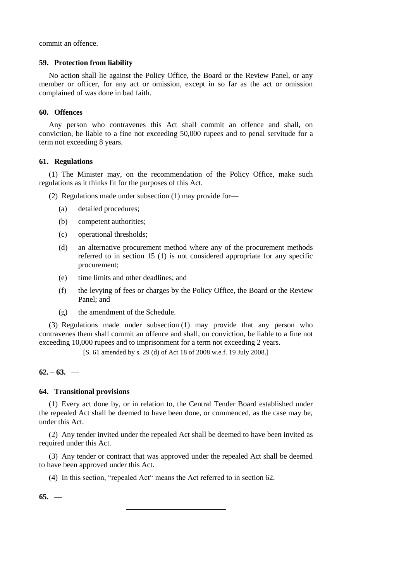commit an offence.

### **59. Protection from liability**

No action shall lie against the Policy Office, the Board or the Review Panel, or any member or officer, for any act or omission, except in so far as the act or omission complained of was done in bad faith.

## **60. Offences**

Any person who contravenes this Act shall commit an offence and shall, on conviction, be liable to a fine not exceeding 50,000 rupees and to penal servitude for a term not exceeding 8 years.

## **61. Regulations**

(1) The Minister may, on the recommendation of the Policy Office, make such regulations as it thinks fit for the purposes of this Act.

(2) Regulations made under subsection (1) may provide for—

- (a) detailed procedures;
- (b) competent authorities;
- (c) operational thresholds;
- (d) an alternative procurement method where any of the procurement methods referred to in section 15 (1) is not considered appropriate for any specific procurement;
- (e) time limits and other deadlines; and
- (f) the levying of fees or charges by the Policy Office, the Board or the Review Panel; and
- (g) the amendment of the Schedule.

(3) Regulations made under subsection (1) may provide that any person who contravenes them shall commit an offence and shall, on conviction, be liable to a fine not exceeding 10,000 rupees and to imprisonment for a term not exceeding 2 years.

[S. 61 amended by s. 29 (d) of Act 18 of 2008 w.e.f. 19 July 2008.]

## $62 - 63$ . —

## **64. Transitional provisions**

(1) Every act done by, or in relation to, the Central Tender Board established under the repealed Act shall be deemed to have been done, or commenced, as the case may be, under this Act.

(2) Any tender invited under the repealed Act shall be deemed to have been invited as required under this Act.

(3) Any tender or contract that was approved under the repealed Act shall be deemed to have been approved under this Act.

(4) In this section, "repealed Act" means the Act referred to in section 62.

**65.** —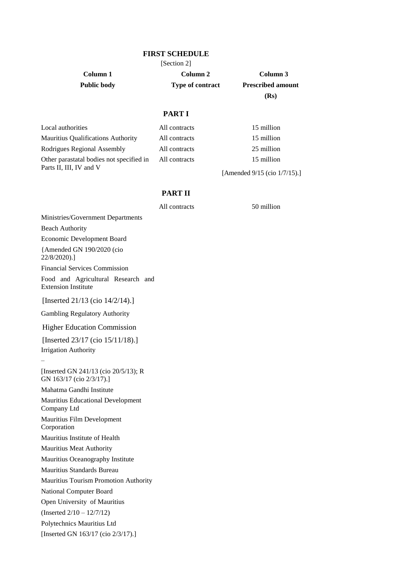### **FIRST SCHEDULE**

[Section 2]

**Column 1 Column 2 Column 3 Public body Type of contract Prescribed amount**

**(Rs)**

# **PART I**

| Local authorities                                                   | All contracts | 15 million       |
|---------------------------------------------------------------------|---------------|------------------|
| <b>Mauritius Qualifications Authority</b>                           | All contracts | 15 million       |
| Rodrigues Regional Assembly                                         | All contracts | 25 million       |
| Other parastatal bodies not specified in<br>Parts II, III, IV and V | All contracts | 15 million       |
|                                                                     |               | . <i>. . .</i> . |

[Amended 9/15 (cio 1/7/15).]

# **PART II**

All contracts 50 million

Ministries/Government Departments

Beach Authority

Economic Development Board {Amended GN 190/2020 (cio 22/8/2020).]

Financial Services Commission

Food and Agricultural Research and Extension Institute

[Inserted 21/13 (cio 14/2/14).]

Gambling Regulatory Authority

Higher Education Commission

[Inserted 23/17 (cio 15/11/18).] Irrigation Authority

[Inserted GN 241/13 (cio 20/5/13); R GN 163/17 (cio 2/3/17).]

Mahatma Gandhi Institute

–

Mauritius Educational Development Company Ltd

Mauritius Film Development Corporation

Mauritius Institute of Health

Mauritius Meat Authority

Mauritius Oceanography Institute

Mauritius Standards Bureau

Mauritius Tourism Promotion Authority

National Computer Board

Open University of Mauritius

(Inserted 2/10 – 12/7/12)

Polytechnics Mauritius Ltd

[Inserted GN 163/17 (cio 2/3/17).]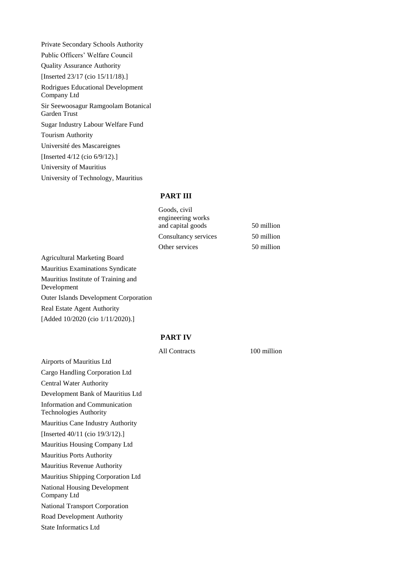Private Secondary Schools Authority Public Officers' Welfare Council Quality Assurance Authority [Inserted 23/17 (cio 15/11/18).] Rodrigues Educational Development Company Ltd Sir Seewoosagur Ramgoolam Botanical Garden Trust Sugar Industry Labour Welfare Fund Tourism Authority Université des Mascareignes [Inserted 4/12 (cio 6/9/12).] University of Mauritius University of Technology, Mauritius

## **PART III**

| 50 million |
|------------|
| 50 million |
| 50 million |
|            |

Agricultural Marketing Board Mauritius Examinations Syndicate Mauritius Institute of Training and Development Outer Islands Development Corporation Real Estate Agent Authority [Added 10/2020 (cio 1/11/2020).]

#### **PART IV**

Airports of Mauritius Ltd Cargo Handling Corporation Ltd Central Water Authority Development Bank of Mauritius Ltd Information and Communication Technologies Authority Mauritius Cane Industry Authority [Inserted 40/11 (cio 19/3/12).] Mauritius Housing Company Ltd Mauritius Ports Authority Mauritius Revenue Authority Mauritius Shipping Corporation Ltd National Housing Development Company Ltd National Transport Corporation Road Development Authority State Informatics Ltd

All Contracts 100 million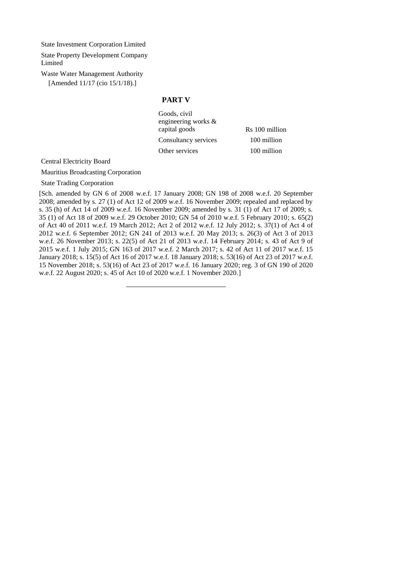State Investment Corporation Limited

State Property Development Company Limited

Waste Water Management Authority [Amended 11/17 (cio 15/1/18).]

#### **PART V**

Goods, civil engineering works & capital goods Rs 100 million Consultancy services 100 million Other services 100 million

Central Electricity Board

Mauritius Broadcasting Corporation

State Trading Corporation

[Sch. amended by GN 6 of 2008 w.e.f. 17 January 2008; GN 198 of 2008 w.e.f. 20 September 2008; amended by s. 27 (1) of Act 12 of 2009 w.e.f. 16 November 2009; repealed and replaced by s. 35 (h) of Act 14 of 2009 w.e.f. 16 November 2009; amended by s. 31 (1) of Act 17 of 2009; s. 35 (1) of Act 18 of 2009 w.e.f. 29 October 2010; GN 54 of 2010 w.e.f. 5 February 2010; s. 65(2) of Act 40 of 2011 w.e.f. 19 March 2012; Act 2 of 2012 w.e.f. 12 July 2012; s. 37(1) of Act 4 of 2012 w.e.f. 6 September 2012; GN 241 of 2013 w.e.f. 20 May 2013; s. 26(3) of Act 3 of 2013 w.e.f. 26 November 2013; s. 22(5) of Act 21 of 2013 w.e.f. 14 February 2014; s. 43 of Act 9 of 2015 w.e.f. 1 July 2015; GN 163 of 2017 w.e.f. 2 March 2017; s. 42 of Act 11 of 2017 w.e.f. 15 January 2018; s. 15(5) of Act 16 of 2017 w.e.f. 18 January 2018; s. 53(16) of Act 23 of 2017 w.e.f. 15 November 2018; s. 53(16) of Act 23 of 2017 w.e.f. 16 January 2020; reg. 3 of GN 190 of 2020 w.e.f. 22 August 2020; s. 45 of Act 10 of 2020 w.e.f. 1 November 2020.]